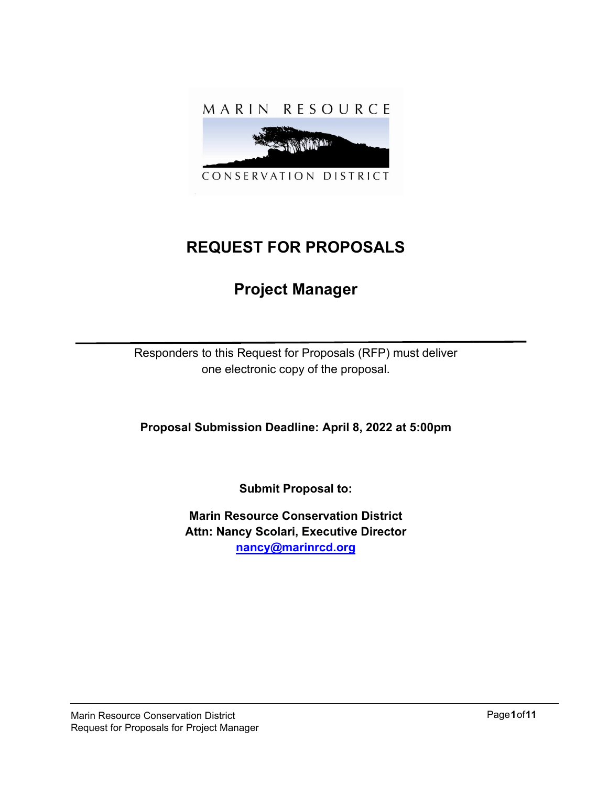

# **REQUEST FOR PROPOSALS**

# **Project Manager**

Responders to this Request for Proposals (RFP) must deliver one electronic copy of the proposal.

**Proposal Submission Deadline: April 8, 2022 at 5:00pm**

**Submit Proposal to:**

**Marin Resource Conservation District Attn: Nancy Scolari, Executive Director [nancy@marinrcd.org](mailto:nancy@marinrcd.org)**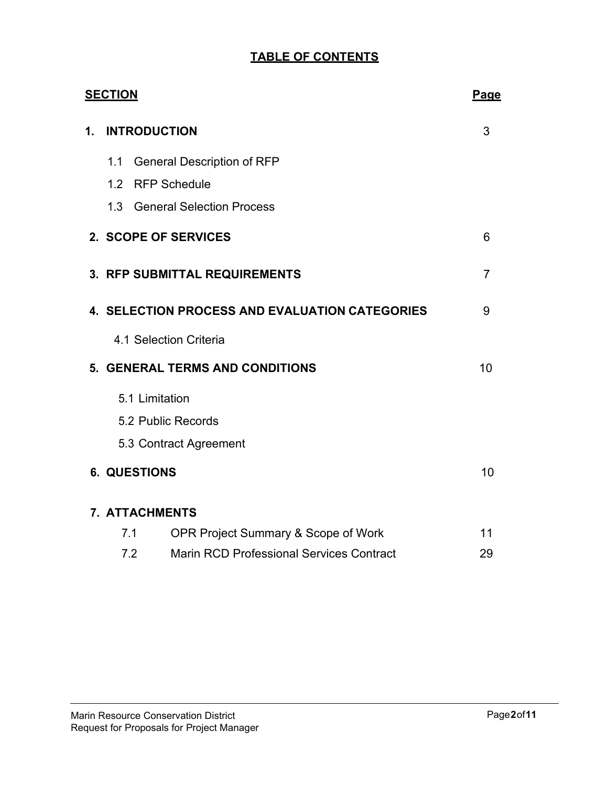# **TABLE OF CONTENTS**

|    | <b>SECTION</b><br>Page |                                                        |                |
|----|------------------------|--------------------------------------------------------|----------------|
| 1. |                        | <b>INTRODUCTION</b>                                    | 3              |
|    | 1.1                    | <b>General Description of RFP</b>                      |                |
|    | 1.2                    | <b>RFP Schedule</b>                                    |                |
|    | 1.3                    | <b>General Selection Process</b>                       |                |
|    |                        | 2. SCOPE OF SERVICES                                   | 6              |
|    |                        | 3. RFP SUBMITTAL REQUIREMENTS                          | $\overline{7}$ |
|    |                        | 4. SELECTION PROCESS AND EVALUATION CATEGORIES         | 9              |
|    |                        | 4.1 Selection Criteria                                 |                |
|    |                        | <b>5. GENERAL TERMS AND CONDITIONS</b>                 | 10             |
|    |                        | 5.1 Limitation                                         |                |
|    |                        | 5.2 Public Records                                     |                |
|    |                        | 5.3 Contract Agreement                                 |                |
|    |                        | <b>6. QUESTIONS</b>                                    | 10             |
|    |                        | 7. ATTACHMENTS                                         |                |
|    |                        | <b>OPR Project Summary &amp; Scope of Work</b><br>7.1  | 11             |
|    |                        | 7.2<br><b>Marin RCD Professional Services Contract</b> | 29             |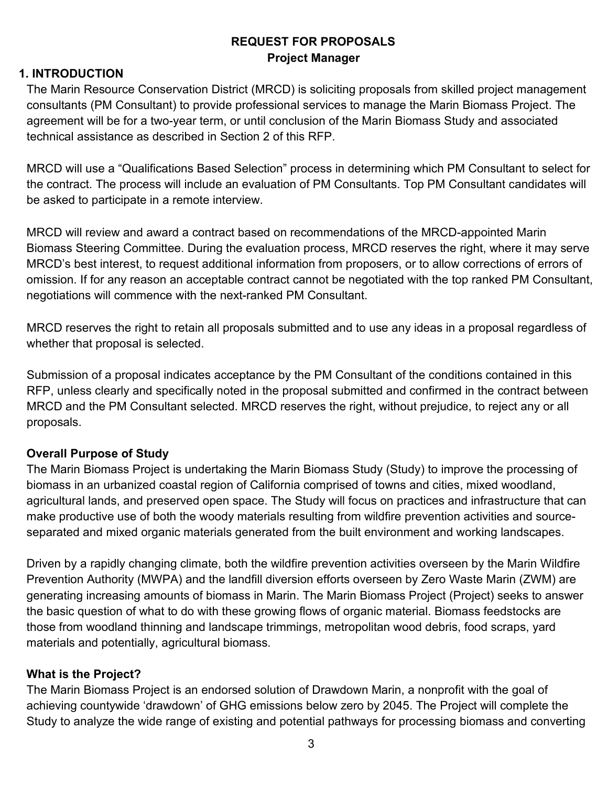# **REQUEST FOR PROPOSALS Project Manager**

## **1. INTRODUCTION**

The Marin Resource Conservation District (MRCD) is soliciting proposals from skilled project management consultants (PM Consultant) to provide professional services to manage the Marin Biomass Project. The agreement will be for a two-year term, or until conclusion of the Marin Biomass Study and associated technical assistance as described in Section 2 of this RFP.

MRCD will use a "Qualifications Based Selection" process in determining which PM Consultant to select for the contract. The process will include an evaluation of PM Consultants. Top PM Consultant candidates will be asked to participate in a remote interview.

MRCD will review and award a contract based on recommendations of the MRCD-appointed Marin Biomass Steering Committee. During the evaluation process, MRCD reserves the right, where it may serve MRCD's best interest, to request additional information from proposers, or to allow corrections of errors of omission. If for any reason an acceptable contract cannot be negotiated with the top ranked PM Consultant, negotiations will commence with the next-ranked PM Consultant.

MRCD reserves the right to retain all proposals submitted and to use any ideas in a proposal regardless of whether that proposal is selected.

Submission of a proposal indicates acceptance by the PM Consultant of the conditions contained in this RFP, unless clearly and specifically noted in the proposal submitted and confirmed in the contract between MRCD and the PM Consultant selected. MRCD reserves the right, without prejudice, to reject any or all proposals.

## **Overall Purpose of Study**

The Marin Biomass Project is undertaking the Marin Biomass Study (Study) to improve the processing of biomass in an urbanized coastal region of California comprised of towns and cities, mixed woodland, agricultural lands, and preserved open space. The Study will focus on practices and infrastructure that can make productive use of both the woody materials resulting from wildfire prevention activities and sourceseparated and mixed organic materials generated from the built environment and working landscapes.

Driven by a rapidly changing climate, both the wildfire prevention activities overseen by the Marin Wildfire Prevention Authority (MWPA) and the landfill diversion efforts overseen by Zero Waste Marin (ZWM) are generating increasing amounts of biomass in Marin. The Marin Biomass Project (Project) seeks to answer the basic question of what to do with these growing flows of organic material. Biomass feedstocks are those from woodland thinning and landscape trimmings, metropolitan wood debris, food scraps, yard materials and potentially, agricultural biomass.

## **What is the Project?**

The Marin Biomass Project is an endorsed solution of Drawdown Marin, a nonprofit with the goal of achieving countywide 'drawdown' of GHG emissions below zero by 2045. The Project will complete the Study to analyze the wide range of existing and potential pathways for processing biomass and converting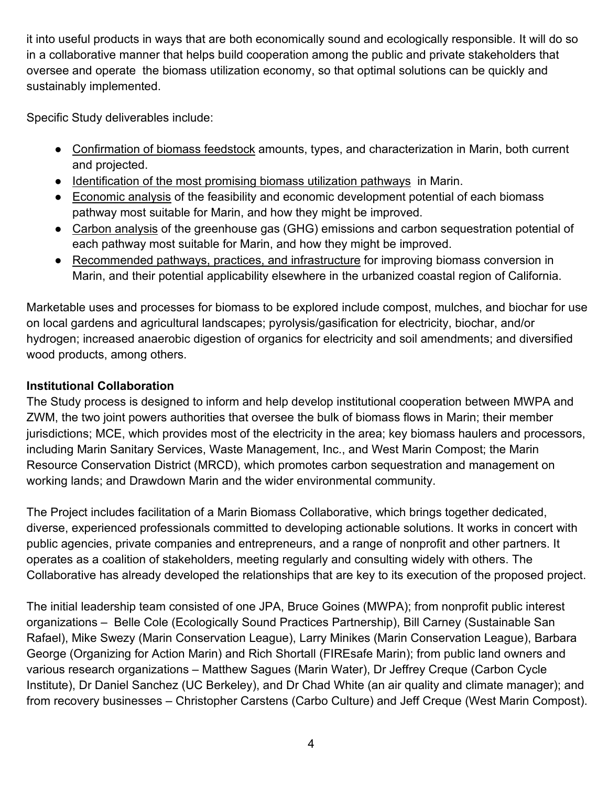it into useful products in ways that are both economically sound and ecologically responsible. It will do so in a collaborative manner that helps build cooperation among the public and private stakeholders that oversee and operate the biomass utilization economy, so that optimal solutions can be quickly and sustainably implemented.

Specific Study deliverables include:

- Confirmation of biomass feedstock amounts, types, and characterization in Marin, both current and projected.
- Identification of the most promising biomass utilization pathways in Marin.
- Economic analysis of the feasibility and economic development potential of each biomass pathway most suitable for Marin, and how they might be improved.
- Carbon analysis of the greenhouse gas (GHG) emissions and carbon sequestration potential of each pathway most suitable for Marin, and how they might be improved.
- Recommended pathways, practices, and infrastructure for improving biomass conversion in Marin, and their potential applicability elsewhere in the urbanized coastal region of California.

Marketable uses and processes for biomass to be explored include compost, mulches, and biochar for use on local gardens and agricultural landscapes; pyrolysis/gasification for electricity, biochar, and/or hydrogen; increased anaerobic digestion of organics for electricity and soil amendments; and diversified wood products, among others.

# **Institutional Collaboration**

The Study process is designed to inform and help develop institutional cooperation between MWPA and ZWM, the two joint powers authorities that oversee the bulk of biomass flows in Marin; their member jurisdictions; MCE, which provides most of the electricity in the area; key biomass haulers and processors, including Marin Sanitary Services, Waste Management, Inc., and West Marin Compost; the Marin Resource Conservation District (MRCD), which promotes carbon sequestration and management on working lands; and Drawdown Marin and the wider environmental community.

The Project includes facilitation of a Marin Biomass Collaborative, which brings together dedicated, diverse, experienced professionals committed to developing actionable solutions. It works in concert with public agencies, private companies and entrepreneurs, and a range of nonprofit and other partners. It operates as a coalition of stakeholders, meeting regularly and consulting widely with others. The Collaborative has already developed the relationships that are key to its execution of the proposed project.

The initial leadership team consisted of one JPA, Bruce Goines (MWPA); from nonprofit public interest organizations – Belle Cole (Ecologically Sound Practices Partnership), Bill Carney (Sustainable San Rafael), Mike Swezy (Marin Conservation League), Larry Minikes (Marin Conservation League), Barbara George (Organizing for Action Marin) and Rich Shortall (FIREsafe Marin); from public land owners and various research organizations – Matthew Sagues (Marin Water), Dr Jeffrey Creque (Carbon Cycle Institute), Dr Daniel Sanchez (UC Berkeley), and Dr Chad White (an air quality and climate manager); and from recovery businesses – Christopher Carstens (Carbo Culture) and Jeff Creque (West Marin Compost).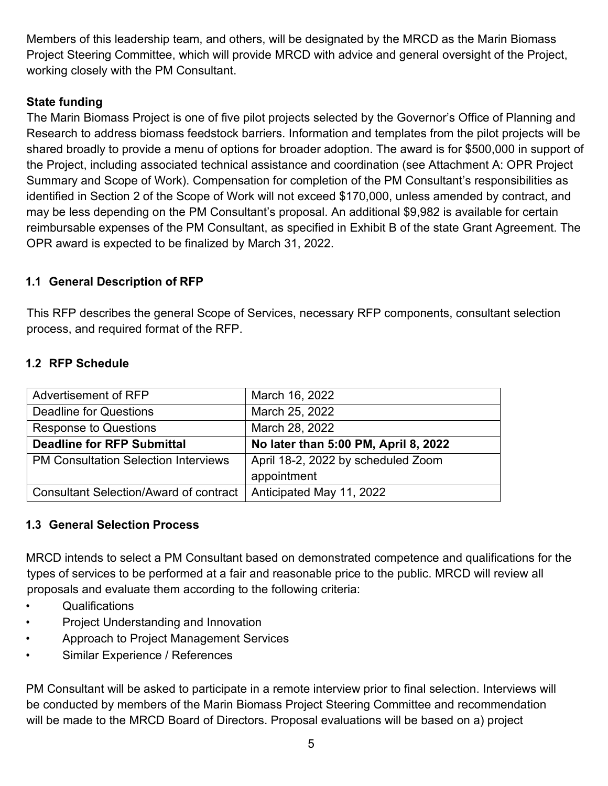Members of this leadership team, and others, will be designated by the MRCD as the Marin Biomass Project Steering Committee, which will provide MRCD with advice and general oversight of the Project, working closely with the PM Consultant.

# **State funding**

The Marin Biomass Project is one of five pilot projects selected by the Governor's Office of Planning and Research to address biomass feedstock barriers. Information and templates from the pilot projects will be shared broadly to provide a menu of options for broader adoption. The award is for \$500,000 in support of the Project, including associated technical assistance and coordination (see Attachment A: OPR Project Summary and Scope of Work). Compensation for completion of the PM Consultant's responsibilities as identified in Section 2 of the Scope of Work will not exceed \$170,000, unless amended by contract, and may be less depending on the PM Consultant's proposal. An additional \$9,982 is available for certain reimbursable expenses of the PM Consultant, as specified in Exhibit B of the state Grant Agreement. The OPR award is expected to be finalized by March 31, 2022.

# **1.1 General Description of RFP**

This RFP describes the general Scope of Services, necessary RFP components, consultant selection process, and required format of the RFP.

# **1.2 RFP Schedule**

| Advertisement of RFP                          | March 16, 2022                       |
|-----------------------------------------------|--------------------------------------|
| <b>Deadline for Questions</b>                 | March 25, 2022                       |
| Response to Questions                         | March 28, 2022                       |
| <b>Deadline for RFP Submittal</b>             | No later than 5:00 PM, April 8, 2022 |
| <b>PM Consultation Selection Interviews</b>   | April 18-2, 2022 by scheduled Zoom   |
|                                               | appointment                          |
| <b>Consultant Selection/Award of contract</b> | Anticipated May 11, 2022             |

# **1.3 General Selection Process**

MRCD intends to select a PM Consultant based on demonstrated competence and qualifications for the types of services to be performed at a fair and reasonable price to the public. MRCD will review all proposals and evaluate them according to the following criteria:

- Qualifications
- Project Understanding and Innovation
- Approach to Project Management Services
- Similar Experience / References

PM Consultant will be asked to participate in a remote interview prior to final selection. Interviews will be conducted by members of the Marin Biomass Project Steering Committee and recommendation will be made to the MRCD Board of Directors. Proposal evaluations will be based on a) project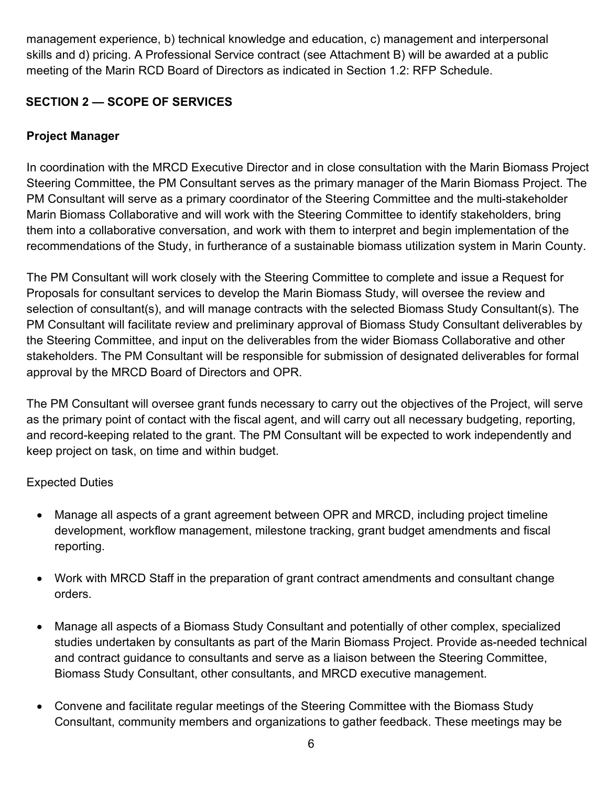management experience, b) technical knowledge and education, c) management and interpersonal skills and d) pricing. A Professional Service contract (see Attachment B) will be awarded at a public meeting of the Marin RCD Board of Directors as indicated in Section 1.2: RFP Schedule.

# **SECTION 2 — SCOPE OF SERVICES**

# **Project Manager**

In coordination with the MRCD Executive Director and in close consultation with the Marin Biomass Project Steering Committee, the PM Consultant serves as the primary manager of the Marin Biomass Project. The PM Consultant will serve as a primary coordinator of the Steering Committee and the multi-stakeholder Marin Biomass Collaborative and will work with the Steering Committee to identify stakeholders, bring them into a collaborative conversation, and work with them to interpret and begin implementation of the recommendations of the Study, in furtherance of a sustainable biomass utilization system in Marin County.

The PM Consultant will work closely with the Steering Committee to complete and issue a Request for Proposals for consultant services to develop the Marin Biomass Study, will oversee the review and selection of consultant(s), and will manage contracts with the selected Biomass Study Consultant(s). The PM Consultant will facilitate review and preliminary approval of Biomass Study Consultant deliverables by the Steering Committee, and input on the deliverables from the wider Biomass Collaborative and other stakeholders. The PM Consultant will be responsible for submission of designated deliverables for formal approval by the MRCD Board of Directors and OPR.

The PM Consultant will oversee grant funds necessary to carry out the objectives of the Project, will serve as the primary point of contact with the fiscal agent, and will carry out all necessary budgeting, reporting, and record-keeping related to the grant. The PM Consultant will be expected to work independently and keep project on task, on time and within budget.

# Expected Duties

- Manage all aspects of a grant agreement between OPR and MRCD, including project timeline development, workflow management, milestone tracking, grant budget amendments and fiscal reporting.
- Work with MRCD Staff in the preparation of grant contract amendments and consultant change orders.
- Manage all aspects of a Biomass Study Consultant and potentially of other complex, specialized studies undertaken by consultants as part of the Marin Biomass Project. Provide as-needed technical and contract guidance to consultants and serve as a liaison between the Steering Committee, Biomass Study Consultant, other consultants, and MRCD executive management.
- Convene and facilitate regular meetings of the Steering Committee with the Biomass Study Consultant, community members and organizations to gather feedback. These meetings may be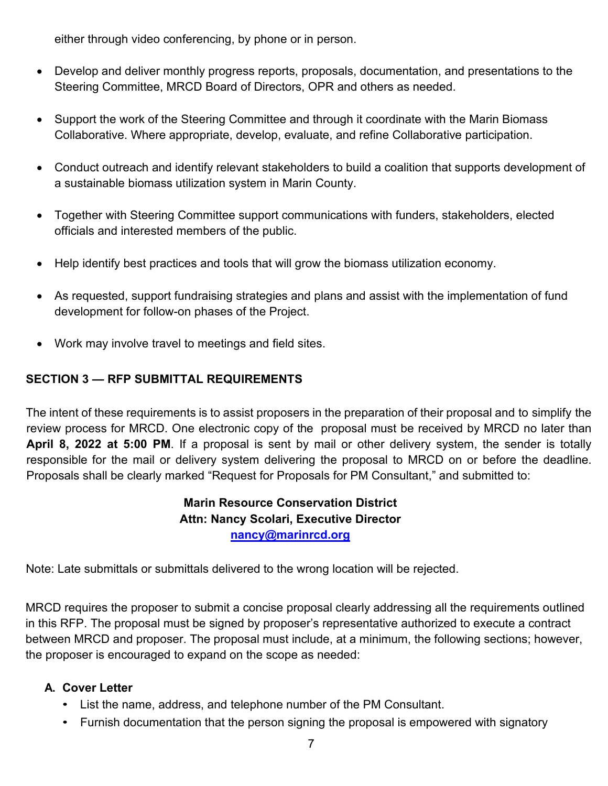either through video conferencing, by phone or in person.

- Develop and deliver monthly progress reports, proposals, documentation, and presentations to the Steering Committee, MRCD Board of Directors, OPR and others as needed.
- Support the work of the Steering Committee and through it coordinate with the Marin Biomass Collaborative. Where appropriate, develop, evaluate, and refine Collaborative participation.
- Conduct outreach and identify relevant stakeholders to build a coalition that supports development of a sustainable biomass utilization system in Marin County.
- Together with Steering Committee support communications with funders, stakeholders, elected officials and interested members of the public.
- Help identify best practices and tools that will grow the biomass utilization economy.
- As requested, support fundraising strategies and plans and assist with the implementation of fund development for follow-on phases of the Project.
- Work may involve travel to meetings and field sites.

# **SECTION 3 — RFP SUBMITTAL REQUIREMENTS**

The intent of these requirements is to assist proposers in the preparation of their proposal and to simplify the review process for MRCD. One electronic copy of the proposal must be received by MRCD no later than **April 8, 2022 at 5:00 PM**. If a proposal is sent by mail or other delivery system, the sender is totally responsible for the mail or delivery system delivering the proposal to MRCD on or before the deadline. Proposals shall be clearly marked "Request for Proposals for PM Consultant," and submitted to:

# **Marin Resource Conservation District Attn: Nancy Scolari, Executive Director [nancy@marinrcd.org](mailto:nancy@marinrcd.org)**

Note: Late submittals or submittals delivered to the wrong location will be rejected.

MRCD requires the proposer to submit a concise proposal clearly addressing all the requirements outlined in this RFP. The proposal must be signed by proposer's representative authorized to execute a contract between MRCD and proposer. The proposal must include, at a minimum, the following sections; however, the proposer is encouraged to expand on the scope as needed:

# **A. Cover Letter**

- List the name, address, and telephone number of the PM Consultant.
- Furnish documentation that the person signing the proposal is empowered with signatory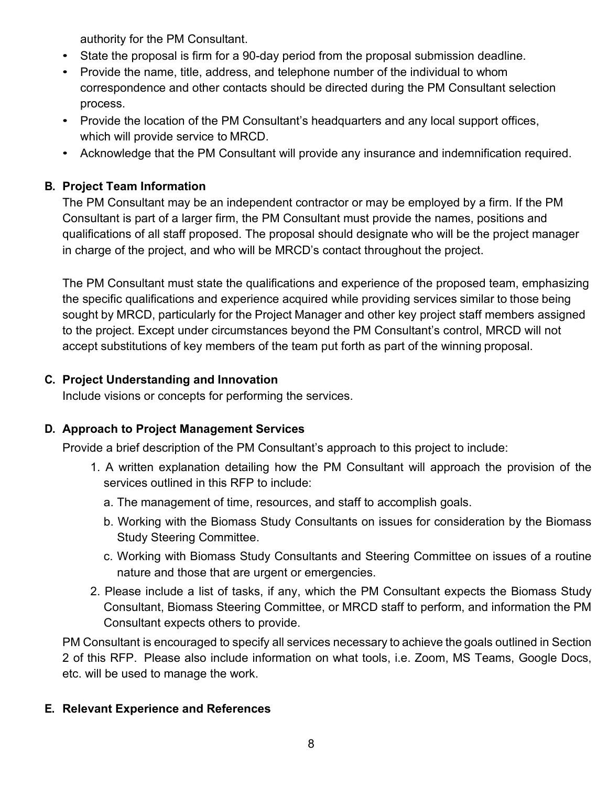authority for the PM Consultant.

- State the proposal is firm for a 90-day period from the proposal submission deadline.
- Provide the name, title, address, and telephone number of the individual to whom correspondence and other contacts should be directed during the PM Consultant selection process.
- Provide the location of the PM Consultant's headquarters and any local support offices, which will provide service to MRCD.
- Acknowledge that the PM Consultant will provide any insurance and indemnification required.

# **B. Project Team Information**

The PM Consultant may be an independent contractor or may be employed by a firm. If the PM Consultant is part of a larger firm, the PM Consultant must provide the names, positions and qualifications of all staff proposed. The proposal should designate who will be the project manager in charge of the project, and who will be MRCD's contact throughout the project.

The PM Consultant must state the qualifications and experience of the proposed team, emphasizing the specific qualifications and experience acquired while providing services similar to those being sought by MRCD, particularly for the Project Manager and other key project staff members assigned to the project. Except under circumstances beyond the PM Consultant's control, MRCD will not accept substitutions of key members of the team put forth as part of the winning proposal.

# **C. Project Understanding and Innovation**

Include visions or concepts for performing the services.

# **D. Approach to Project Management Services**

Provide a brief description of the PM Consultant's approach to this project to include:

- 1. A written explanation detailing how the PM Consultant will approach the provision of the services outlined in this RFP to include:
	- a. The management of time, resources, and staff to accomplish goals.
	- b. Working with the Biomass Study Consultants on issues for consideration by the Biomass Study Steering Committee.
	- c. Working with Biomass Study Consultants and Steering Committee on issues of a routine nature and those that are urgent or emergencies.
- 2. Please include a list of tasks, if any, which the PM Consultant expects the Biomass Study Consultant, Biomass Steering Committee, or MRCD staff to perform, and information the PM Consultant expects others to provide.

PM Consultant is encouraged to specify all services necessary to achieve the goals outlined in Section 2 of this RFP. Please also include information on what tools, i.e. Zoom, MS Teams, Google Docs, etc. will be used to manage the work.

# **E. Relevant Experience and References**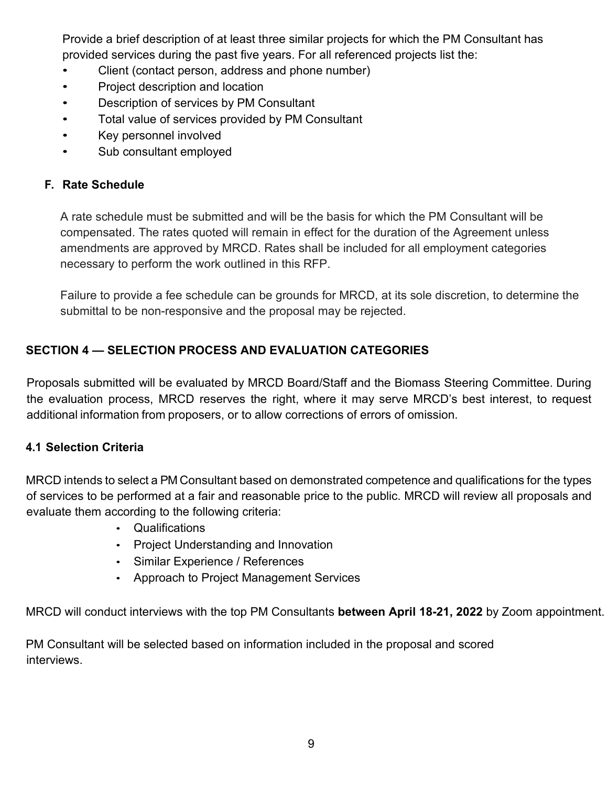Provide a brief description of at least three similar projects for which the PM Consultant has provided services during the past five years. For all referenced projects list the:

- Client (contact person, address and phone number)
- Project description and location
- Description of services by PM Consultant
- Total value of services provided by PM Consultant
- Key personnel involved
- Sub consultant employed

## **F. Rate Schedule**

A rate schedule must be submitted and will be the basis for which the PM Consultant will be compensated. The rates quoted will remain in effect for the duration of the Agreement unless amendments are approved by MRCD. Rates shall be included for all employment categories necessary to perform the work outlined in this RFP.

Failure to provide a fee schedule can be grounds for MRCD, at its sole discretion, to determine the submittal to be non-responsive and the proposal may be rejected.

# **SECTION 4 — SELECTION PROCESS AND EVALUATION CATEGORIES**

Proposals submitted will be evaluated by MRCD Board/Staff and the Biomass Steering Committee. During the evaluation process, MRCD reserves the right, where it may serve MRCD's best interest, to request additional information from proposers, or to allow corrections of errors of omission.

## <span id="page-8-0"></span>**4.1 Selection Criteria**

MRCD intends to select a PM Consultant based on demonstrated competence and qualifications for the types of services to be performed at a fair and reasonable price to the public. MRCD will review all proposals and evaluate them according to the following criteria:

- Qualifications
- Project Understanding and Innovation
- Similar Experience / References
- Approach to Project Management Services

MRCD will conduct interviews with the top PM Consultants **between April 18-21, 2022** by Zoom appointment.

PM Consultant will be selected based on information included in the proposal and scored interviews.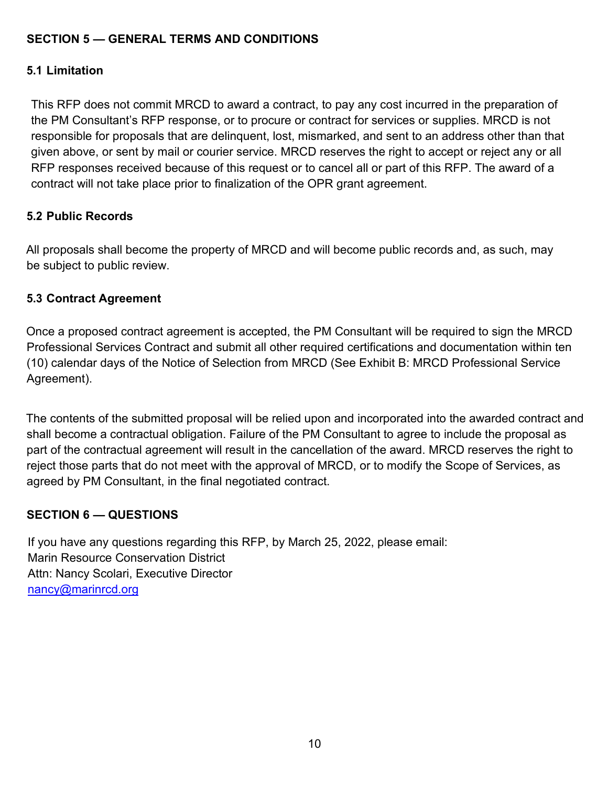# **SECTION 5 — GENERAL TERMS AND CONDITIONS**

# **5.1 Limitation**

This RFP does not commit MRCD to award a contract, to pay any cost incurred in the preparation of the PM Consultant's RFP response, or to procure or contract for services or supplies. MRCD is not responsible for proposals that are delinquent, lost, mismarked, and sent to an address other than that given above, or sent by mail or courier service. MRCD reserves the right to accept or reject any or all RFP responses received because of this request or to cancel all or part of this RFP. The award of a contract will not take place prior to finalization of the OPR grant agreement.

## **5.2 Public Records**

All proposals shall become the property of MRCD and will become public records and, as such, may be subject to public review.

## **5.3 Contract Agreement**

Once a proposed contract agreement is accepted, the PM Consultant will be required to sign the MRCD Professional Services Contract and submit all other required certifications and documentation within ten (10) calendar days of the Notice of Selection from MRCD (See Exhibit B: MRCD Professional Service Agreement).

The contents of the submitted proposal will be relied upon and incorporated into the awarded contract and shall become a contractual obligation. Failure of the PM Consultant to agree to include the proposal as part of the contractual agreement will result in the cancellation of the award. MRCD reserves the right to reject those parts that do not meet with the approval of MRCD, or to modify the Scope of Services, as agreed by PM Consultant, in the final negotiated contract.

## **SECTION 6 — QUESTIONS**

If you have any questions regarding this RFP, by March 25, 2022, please email: Marin Resource Conservation District Attn: Nancy Scolari, Executive Director [nancy@marinrcd.org](mailto:nancy@marinrcd.org)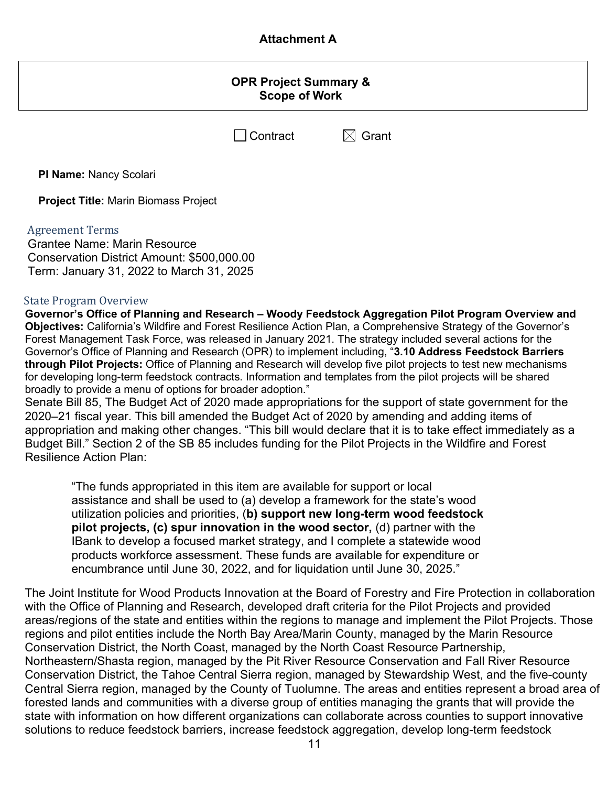## **Attachment A**

### **OPR Project Summary & Scope of Work**

 $\Box$  Contract  $\boxtimes$  Grant

**PI Name:** Nancy Scolari

**Project Title:** Marin Biomass Project

### Agreement Terms

Grantee Name: Marin Resource Conservation District Amount: \$500,000.00 Term: January 31, 2022 to March 31, 2025

### State Program Overview

**Governor's Office of Planning and Research – Woody Feedstock Aggregation Pilot Program Overview and Objectives:** California's Wildfire and Forest Resilience Action Plan, a Comprehensive Strategy of the Governor's Forest Management Task Force, was released in January 2021. The strategy included several actions for the Governor's Office of Planning and Research (OPR) to implement including, "**3.10 Address Feedstock Barriers through Pilot Projects:** Office of Planning and Research will develop five pilot projects to test new mechanisms for developing long-term feedstock contracts. Information and templates from the pilot projects will be shared broadly to provide a menu of options for broader adoption."

Senate Bill 85, The Budget Act of 2020 made appropriations for the support of state government for the 2020–21 fiscal year. This bill amended the Budget Act of 2020 by amending and adding items of appropriation and making other changes. "This bill would declare that it is to take effect immediately as a Budget Bill." Section 2 of the SB 85 includes funding for the Pilot Projects in the Wildfire and Forest Resilience Action Plan:

"The funds appropriated in this item are available for support or local assistance and shall be used to (a) develop a framework for the state's wood utilization policies and priorities, (**b) support new long-term wood feedstock pilot projects, (c) spur innovation in the wood sector,** (d) partner with the IBank to develop a focused market strategy, and I complete a statewide wood products workforce assessment. These funds are available for expenditure or encumbrance until June 30, 2022, and for liquidation until June 30, 2025."

The Joint Institute for Wood Products Innovation at the Board of Forestry and Fire Protection in collaboration with the Office of Planning and Research, developed draft criteria for the Pilot Projects and provided areas/regions of the state and entities within the regions to manage and implement the Pilot Projects. Those regions and pilot entities include the North Bay Area/Marin County, managed by the Marin Resource Conservation District, the North Coast, managed by the North Coast Resource Partnership, Northeastern/Shasta region, managed by the Pit River Resource Conservation and Fall River Resource Conservation District, the Tahoe Central Sierra region, managed by Stewardship West, and the five-county Central Sierra region, managed by the County of Tuolumne. The areas and entities represent a broad area of forested lands and communities with a diverse group of entities managing the grants that will provide the state with information on how different organizations can collaborate across counties to support innovative solutions to reduce feedstock barriers, increase feedstock aggregation, develop long-term feedstock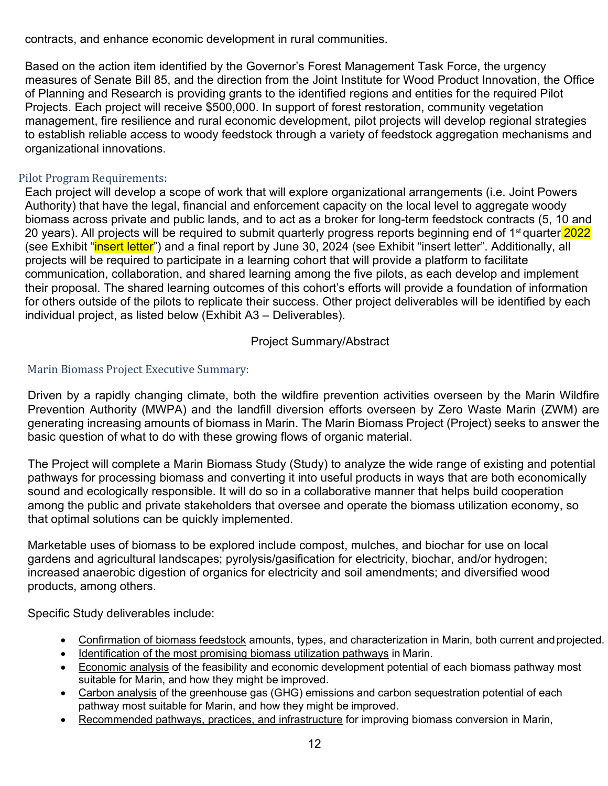contracts, and enhance economic development in rural communities.

Based on the action item identified by the Governor's Forest Management Task Force, the urgency measures of Senate Bill 85, and the direction from the Joint Institute for Wood Product Innovation, the Office of Planning and Research is providing grants to the identified regions and entities for the required Pilot Projects. Each project will receive \$500,000. In support of forest restoration, community vegetation management, fire resilience and rural economic development, pilot projects will develop regional strategies to establish reliable access to woody feedstock through a variety of feedstock aggregation mechanisms and organizational innovations.

### Pilot Program Requirements:

Each project will develop a scope of work that will explore organizational arrangements (i.e. Joint Powers Authority) that have the legal, financial and enforcement capacity on the local level to aggregate woody biomass across private and public lands, and to act as a broker for long-term feedstock contracts (5, 10 and 20 years). All projects will be required to submit quarterly progress reports beginning end of 1<sup>st</sup> quarter 2022 (see Exhibit "*insert letter*") and a final report by June 30, 2024 (see Exhibit "insert letter". Additionally, all projects will be required to participate in a learning cohort that will provide a platform to facilitate communication, collaboration, and shared learning among the five pilots, as each develop and implement their proposal. The shared learning outcomes of this cohort's efforts will provide a foundation of information for others outside of the pilots to replicate their success. Other project deliverables will be identified by each individual project, as listed below (Exhibit A3 – Deliverables).

Project Summary/Abstract

### Marin Biomass Project Executive Summary:

Driven by a rapidly changing climate, both the wildfire prevention activities overseen by the Marin Wildfire Prevention Authority (MWPA) and the landfill diversion efforts overseen by Zero Waste Marin (ZWM) are generating increasing amounts of biomass in Marin. The Marin Biomass Project (Project) seeks to answer the basic question of what to do with these growing flows of organic material.

The Project will complete a Marin Biomass Study (Study) to analyze the wide range of existing and potential pathways for processing biomass and converting it into useful products in ways that are both economically sound and ecologically responsible. It will do so in a collaborative manner that helps build cooperation among the public and private stakeholders that oversee and operate the biomass utilization economy, so that optimal solutions can be quickly implemented.

Marketable uses of biomass to be explored include compost, mulches, and biochar for use on local gardens and agricultural landscapes; pyrolysis/gasification for electricity, biochar, and/or hydrogen; increased anaerobic digestion of organics for electricity and soil amendments; and diversified wood products, among others.

Specific Study deliverables include:

- Confirmation of biomass feedstock amounts, types, and characterization in Marin, both current and projected.
- Identification of the most promising biomass utilization pathways in Marin.
- Economic analysis of the feasibility and economic development potential of each biomass pathway most suitable for Marin, and how they might be improved.
- Carbon analysis of the greenhouse gas (GHG) emissions and carbon sequestration potential of each pathway most suitable for Marin, and how they might be improved.
- Recommended pathways, practices, and infrastructure for improving biomass conversion in Marin,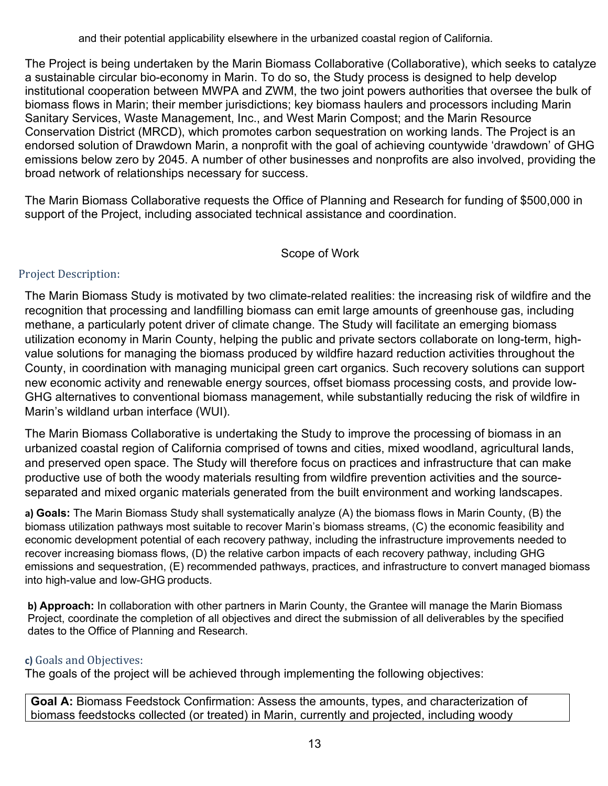and their potential applicability elsewhere in the urbanized coastal region of California.

The Project is being undertaken by the Marin Biomass Collaborative (Collaborative), which seeks to catalyze a sustainable circular bio-economy in Marin. To do so, the Study process is designed to help develop institutional cooperation between MWPA and ZWM, the two joint powers authorities that oversee the bulk of biomass flows in Marin; their member jurisdictions; key biomass haulers and processors including Marin Sanitary Services, Waste Management, Inc., and West Marin Compost; and the Marin Resource Conservation District (MRCD), which promotes carbon sequestration on working lands. The Project is an endorsed solution of Drawdown Marin, a nonprofit with the goal of achieving countywide 'drawdown' of GHG emissions below zero by 2045. A number of other businesses and nonprofits are also involved, providing the broad network of relationships necessary for success.

The Marin Biomass Collaborative requests the Office of Planning and Research for funding of \$500,000 in support of the Project, including associated technical assistance and coordination.

### Scope of Work

### Project Description:

The Marin Biomass Study is motivated by two climate-related realities: the increasing risk of wildfire and the recognition that processing and landfilling biomass can emit large amounts of greenhouse gas, including methane, a particularly potent driver of climate change. The Study will facilitate an emerging biomass utilization economy in Marin County, helping the public and private sectors collaborate on long-term, highvalue solutions for managing the biomass produced by wildfire hazard reduction activities throughout the County, in coordination with managing municipal green cart organics. Such recovery solutions can support new economic activity and renewable energy sources, offset biomass processing costs, and provide low-GHG alternatives to conventional biomass management, while substantially reducing the risk of wildfire in Marin's wildland urban interface (WUI).

The Marin Biomass Collaborative is undertaking the Study to improve the processing of biomass in an urbanized coastal region of California comprised of towns and cities, mixed woodland, agricultural lands, and preserved open space. The Study will therefore focus on practices and infrastructure that can make productive use of both the woody materials resulting from wildfire prevention activities and the sourceseparated and mixed organic materials generated from the built environment and working landscapes.

**a) Goals:** The Marin Biomass Study shall systematically analyze (A) the biomass flows in Marin County, (B) the biomass utilization pathways most suitable to recover Marin's biomass streams, (C) the economic feasibility and economic development potential of each recovery pathway, including the infrastructure improvements needed to recover increasing biomass flows, (D) the relative carbon impacts of each recovery pathway, including GHG emissions and sequestration, (E) recommended pathways, practices, and infrastructure to convert managed biomass into high-value and low-GHG products.

**b) Approach:** In collaboration with other partners in Marin County, the Grantee will manage the Marin Biomass Project, coordinate the completion of all objectives and direct the submission of all deliverables by the specified dates to the Office of Planning and Research.

### **c)** Goals and Objectives:

The goals of the project will be achieved through implementing the following objectives:

**Goal A:** Biomass Feedstock Confirmation: Assess the amounts, types, and characterization of biomass feedstocks collected (or treated) in Marin, currently and projected, including woody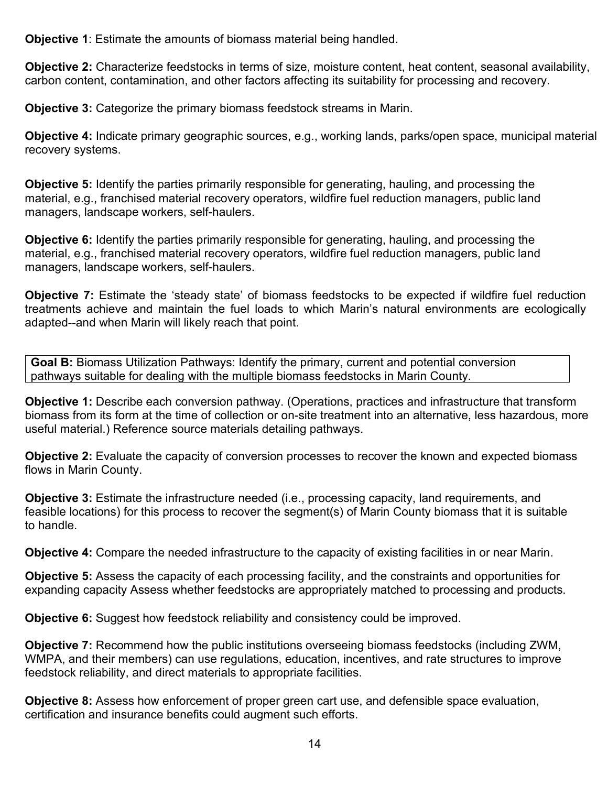**Objective 1**: Estimate the amounts of biomass material being handled.

**Objective 2:** Characterize feedstocks in terms of size, moisture content, heat content, seasonal availability, carbon content, contamination, and other factors affecting its suitability for processing and recovery.

**Objective 3:** Categorize the primary biomass feedstock streams in Marin.

**Objective 4:** Indicate primary geographic sources, e.g., working lands, parks/open space, municipal material recovery systems.

**Objective 5:** Identify the parties primarily responsible for generating, hauling, and processing the material, e.g., franchised material recovery operators, wildfire fuel reduction managers, public land managers, landscape workers, self-haulers.

**Objective 6:** Identify the parties primarily responsible for generating, hauling, and processing the material, e.g., franchised material recovery operators, wildfire fuel reduction managers, public land managers, landscape workers, self-haulers.

**Objective 7:** Estimate the 'steady state' of biomass feedstocks to be expected if wildfire fuel reduction treatments achieve and maintain the fuel loads to which Marin's natural environments are ecologically adapted--and when Marin will likely reach that point.

**Goal B:** Biomass Utilization Pathways: Identify the primary, current and potential conversion pathways suitable for dealing with the multiple biomass feedstocks in Marin County.

**Objective 1:** Describe each conversion pathway. (Operations, practices and infrastructure that transform biomass from its form at the time of collection or on-site treatment into an alternative, less hazardous, more useful material.) Reference source materials detailing pathways.

**Objective 2:** Evaluate the capacity of conversion processes to recover the known and expected biomass flows in Marin County.

**Objective 3:** Estimate the infrastructure needed (i.e., processing capacity, land requirements, and feasible locations) for this process to recover the segment(s) of Marin County biomass that it is suitable to handle.

**Objective 4:** Compare the needed infrastructure to the capacity of existing facilities in or near Marin.

**Objective 5:** Assess the capacity of each processing facility, and the constraints and opportunities for expanding capacity Assess whether feedstocks are appropriately matched to processing and products.

**Objective 6:** Suggest how feedstock reliability and consistency could be improved.

**Objective 7:** Recommend how the public institutions overseeing biomass feedstocks (including ZWM, WMPA, and their members) can use regulations, education, incentives, and rate structures to improve feedstock reliability, and direct materials to appropriate facilities.

**Objective 8:** Assess how enforcement of proper green cart use, and defensible space evaluation, certification and insurance benefits could augment such efforts.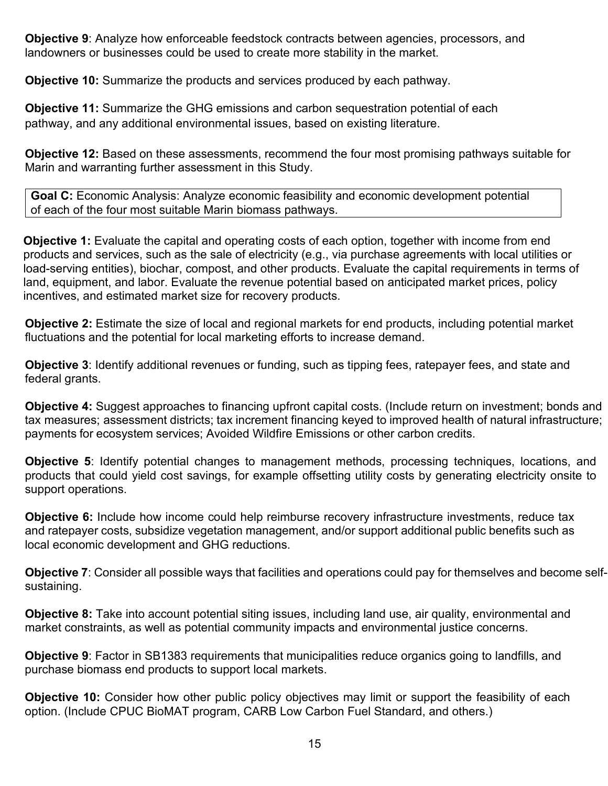**Objective 9**: Analyze how enforceable feedstock contracts between agencies, processors, and landowners or businesses could be used to create more stability in the market.

**Objective 10:** Summarize the products and services produced by each pathway.

**Objective 11:** Summarize the GHG emissions and carbon sequestration potential of each pathway, and any additional environmental issues, based on existing literature.

**Objective 12:** Based on these assessments, recommend the four most promising pathways suitable for Marin and warranting further assessment in this Study.

**Goal C:** Economic Analysis: Analyze economic feasibility and economic development potential of each of the four most suitable Marin biomass pathways.

**Objective 1:** Evaluate the capital and operating costs of each option, together with income from end products and services, such as the sale of electricity (e.g., via purchase agreements with local utilities or load-serving entities), biochar, compost, and other products. Evaluate the capital requirements in terms of land, equipment, and labor. Evaluate the revenue potential based on anticipated market prices, policy incentives, and estimated market size for recovery products.

**Objective 2:** Estimate the size of local and regional markets for end products, including potential market fluctuations and the potential for local marketing efforts to increase demand.

**Objective 3**: Identify additional revenues or funding, such as tipping fees, ratepayer fees, and state and federal grants.

**Objective 4:** Suggest approaches to financing upfront capital costs. (Include return on investment; bonds and tax measures; assessment districts; tax increment financing keyed to improved health of natural infrastructure; payments for ecosystem services; Avoided Wildfire Emissions or other carbon credits.

**Objective 5**: Identify potential changes to management methods, processing techniques, locations, and products that could yield cost savings, for example offsetting utility costs by generating electricity onsite to support operations.

**Objective 6:** Include how income could help reimburse recovery infrastructure investments, reduce tax and ratepayer costs, subsidize vegetation management, and/or support additional public benefits such as local economic development and GHG reductions.

**Objective 7**: Consider all possible ways that facilities and operations could pay for themselves and become selfsustaining.

**Objective 8:** Take into account potential siting issues, including land use, air quality, environmental and market constraints, as well as potential community impacts and environmental justice concerns.

**Objective 9**: Factor in SB1383 requirements that municipalities reduce organics going to landfills, and purchase biomass end products to support local markets.

**Objective 10:** Consider how other public policy objectives may limit or support the feasibility of each option. (Include CPUC BioMAT program, CARB Low Carbon Fuel Standard, and others.)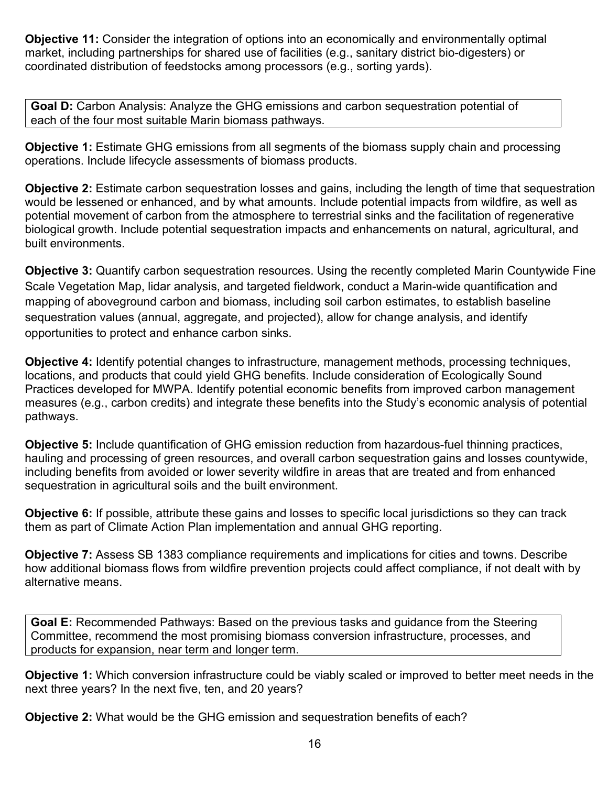**Objective 11:** Consider the integration of options into an economically and environmentally optimal market, including partnerships for shared use of facilities (e.g., sanitary district bio-digesters) or coordinated distribution of feedstocks among processors (e.g., sorting yards).

**Goal D:** Carbon Analysis: Analyze the GHG emissions and carbon sequestration potential of each of the four most suitable Marin biomass pathways.

**Objective 1:** Estimate GHG emissions from all segments of the biomass supply chain and processing operations. Include lifecycle assessments of biomass products.

**Objective 2:** Estimate carbon sequestration losses and gains, including the length of time that sequestration would be lessened or enhanced, and by what amounts. Include potential impacts from wildfire, as well as potential movement of carbon from the atmosphere to terrestrial sinks and the facilitation of regenerative biological growth. Include potential sequestration impacts and enhancements on natural, agricultural, and built environments.

**Objective 3:** Quantify carbon sequestration resources. Using the recently completed Marin Countywide Fine Scale Vegetation Map, lidar analysis, and targeted fieldwork, conduct a Marin-wide quantification and mapping of aboveground carbon and biomass, including soil carbon estimates, to establish baseline sequestration values (annual, aggregate, and projected), allow for change analysis, and identify opportunities to protect and enhance carbon sinks.

**Objective 4:** Identify potential changes to infrastructure, management methods, processing techniques, locations, and products that could yield GHG benefits. Include consideration of Ecologically Sound Practices developed for MWPA. Identify potential economic benefits from improved carbon management measures (e.g., carbon credits) and integrate these benefits into the Study's economic analysis of potential pathways.

**Objective 5:** Include quantification of GHG emission reduction from hazardous-fuel thinning practices, hauling and processing of green resources, and overall carbon sequestration gains and losses countywide, including benefits from avoided or lower severity wildfire in areas that are treated and from enhanced sequestration in agricultural soils and the built environment.

**Objective 6:** If possible, attribute these gains and losses to specific local jurisdictions so they can track them as part of Climate Action Plan implementation and annual GHG reporting.

**Objective 7:** Assess SB 1383 compliance requirements and implications for cities and towns. Describe how additional biomass flows from wildfire prevention projects could affect compliance, if not dealt with by alternative means.

**Goal E:** Recommended Pathways: Based on the previous tasks and guidance from the Steering Committee, recommend the most promising biomass conversion infrastructure, processes, and products for expansion, near term and longer term.

**Objective 1:** Which conversion infrastructure could be viably scaled or improved to better meet needs in the next three years? In the next five, ten, and 20 years?

**Objective 2:** What would be the GHG emission and sequestration benefits of each?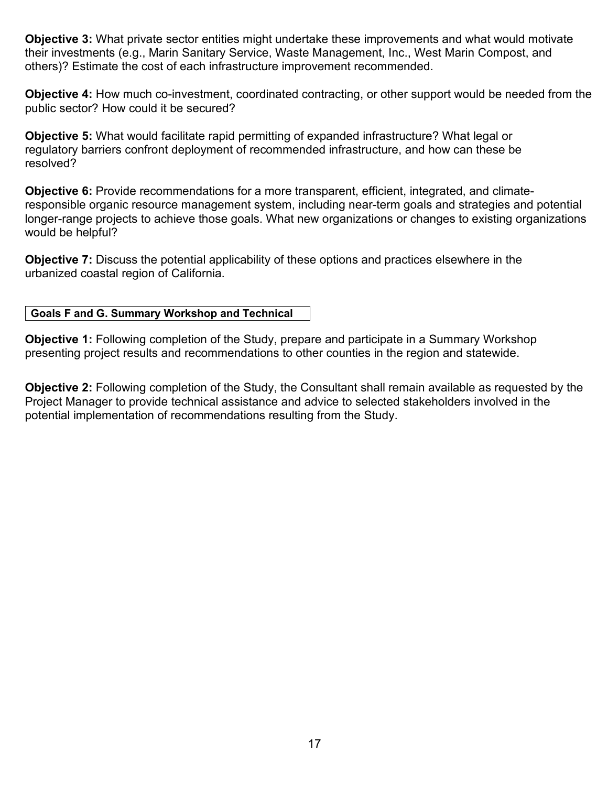**Objective 3:** What private sector entities might undertake these improvements and what would motivate their investments (e.g., Marin Sanitary Service, Waste Management, Inc., West Marin Compost, and others)? Estimate the cost of each infrastructure improvement recommended.

**Objective 4:** How much co-investment, coordinated contracting, or other support would be needed from the public sector? How could it be secured?

**Objective 5:** What would facilitate rapid permitting of expanded infrastructure? What legal or regulatory barriers confront deployment of recommended infrastructure, and how can these be resolved?

**Objective 6:** Provide recommendations for a more transparent, efficient, integrated, and climateresponsible organic resource management system, including near-term goals and strategies and potential longer-range projects to achieve those goals. What new organizations or changes to existing organizations would be helpful?

**Objective 7:** Discuss the potential applicability of these options and practices elsewhere in the urbanized coastal region of California.

### **Goals F and G. Summary Workshop and Technical**

**Objective 1:** Following completion of the Study, prepare and participate in a Summary Workshop presenting project results and recommendations to other counties in the region and statewide.

**Objective 2:** Following completion of the Study, the Consultant shall remain available as requested by the Project Manager to provide technical assistance and advice to selected stakeholders involved in the potential implementation of recommendations resulting from the Study.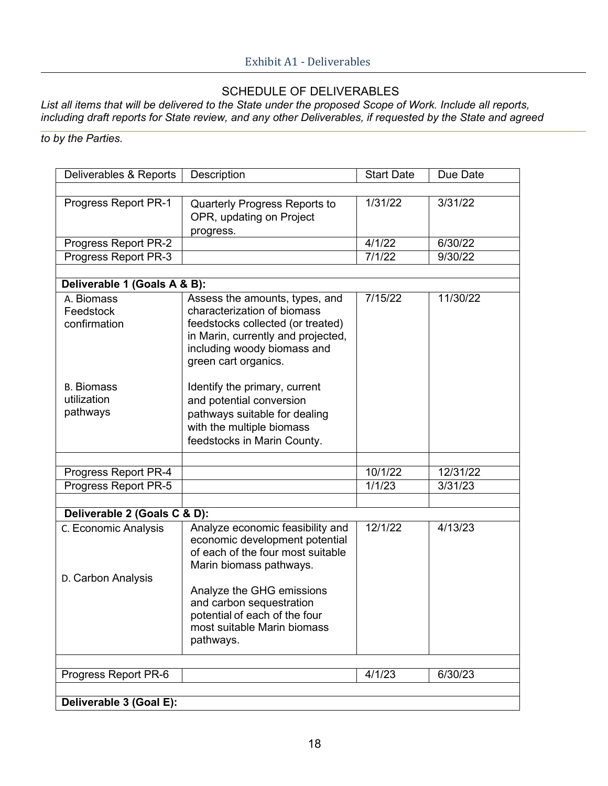# SCHEDULE OF DELIVERABLES

*List all items that will be delivered to the State under the proposed Scope of Work. Include all reports, including draft reports for State review, and any other Deliverables, if requested by the State and agreed* 

*to by the Parties.*

| Deliverables & Reports                       | Description                                                                                                                                                                                                                                                              | <b>Start Date</b> | Due Date |  |  |  |
|----------------------------------------------|--------------------------------------------------------------------------------------------------------------------------------------------------------------------------------------------------------------------------------------------------------------------------|-------------------|----------|--|--|--|
|                                              |                                                                                                                                                                                                                                                                          |                   |          |  |  |  |
| Progress Report PR-1                         | Quarterly Progress Reports to<br>OPR, updating on Project<br>progress.                                                                                                                                                                                                   | 1/31/22           | 3/31/22  |  |  |  |
| Progress Report PR-2                         |                                                                                                                                                                                                                                                                          | 4/1/22            | 6/30/22  |  |  |  |
| Progress Report PR-3                         |                                                                                                                                                                                                                                                                          | 7/1/22            | 9/30/22  |  |  |  |
|                                              |                                                                                                                                                                                                                                                                          |                   |          |  |  |  |
| Deliverable 1 (Goals A & B):                 |                                                                                                                                                                                                                                                                          |                   |          |  |  |  |
| A. Biomass<br>Feedstock<br>confirmation      | Assess the amounts, types, and<br>characterization of biomass<br>feedstocks collected (or treated)<br>in Marin, currently and projected,<br>including woody biomass and<br>green cart organics.                                                                          | 7/15/22           | 11/30/22 |  |  |  |
| <b>B.</b> Biomass<br>utilization<br>pathways | Identify the primary, current<br>and potential conversion<br>pathways suitable for dealing<br>with the multiple biomass<br>feedstocks in Marin County.                                                                                                                   |                   |          |  |  |  |
|                                              |                                                                                                                                                                                                                                                                          |                   |          |  |  |  |
| Progress Report PR-4                         |                                                                                                                                                                                                                                                                          | 10/1/22           | 12/31/22 |  |  |  |
| Progress Report PR-5                         |                                                                                                                                                                                                                                                                          | 1/1/23            | 3/31/23  |  |  |  |
| Deliverable 2 (Goals C & D):                 |                                                                                                                                                                                                                                                                          |                   |          |  |  |  |
| C. Economic Analysis<br>D. Carbon Analysis   | Analyze economic feasibility and<br>economic development potential<br>of each of the four most suitable<br>Marin biomass pathways.<br>Analyze the GHG emissions<br>and carbon sequestration<br>potential of each of the four<br>most suitable Marin biomass<br>pathways. | 12/1/22           | 4/13/23  |  |  |  |
| Progress Report PR-6                         |                                                                                                                                                                                                                                                                          | 4/1/23            | 6/30/23  |  |  |  |
| Deliverable 3 (Goal E):                      |                                                                                                                                                                                                                                                                          |                   |          |  |  |  |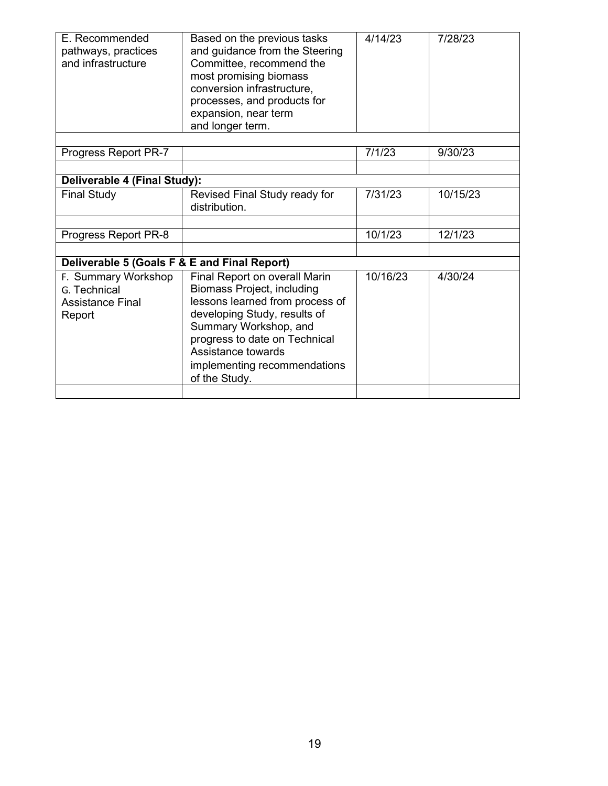| E. Recommended<br>pathways, practices<br>and infrastructure              | Based on the previous tasks<br>and guidance from the Steering<br>Committee, recommend the<br>most promising biomass<br>conversion infrastructure,<br>processes, and products for<br>expansion, near term<br>and longer term.                                           | 4/14/23  | 7/28/23  |
|--------------------------------------------------------------------------|------------------------------------------------------------------------------------------------------------------------------------------------------------------------------------------------------------------------------------------------------------------------|----------|----------|
|                                                                          |                                                                                                                                                                                                                                                                        |          |          |
| Progress Report PR-7                                                     |                                                                                                                                                                                                                                                                        | 7/1/23   | 9/30/23  |
|                                                                          |                                                                                                                                                                                                                                                                        |          |          |
| Deliverable 4 (Final Study):                                             |                                                                                                                                                                                                                                                                        |          |          |
| <b>Final Study</b>                                                       | Revised Final Study ready for<br>distribution.                                                                                                                                                                                                                         | 7/31/23  | 10/15/23 |
|                                                                          |                                                                                                                                                                                                                                                                        |          |          |
| Progress Report PR-8                                                     |                                                                                                                                                                                                                                                                        | 10/1/23  | 12/1/23  |
|                                                                          |                                                                                                                                                                                                                                                                        |          |          |
| Deliverable 5 (Goals F & E and Final Report)                             |                                                                                                                                                                                                                                                                        |          |          |
| F. Summary Workshop<br>G. Technical<br><b>Assistance Final</b><br>Report | Final Report on overall Marin<br><b>Biomass Project, including</b><br>lessons learned from process of<br>developing Study, results of<br>Summary Workshop, and<br>progress to date on Technical<br>Assistance towards<br>implementing recommendations<br>of the Study. | 10/16/23 | 4/30/24  |
|                                                                          |                                                                                                                                                                                                                                                                        |          |          |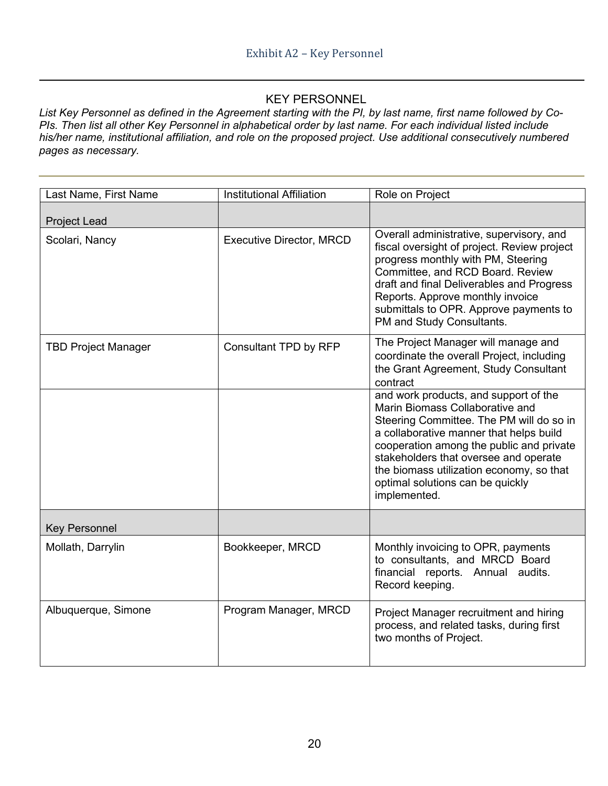## KEY PERSONNEL

*List Key Personnel as defined in the Agreement starting with the PI, by last name, first name followed by Co-PIs. Then list all other Key Personnel in alphabetical order by last name. For each individual listed include his/her name, institutional affiliation, and role on the proposed project. Use additional consecutively numbered pages as necessary.*

| Last Name, First Name      | <b>Institutional Affiliation</b> | Role on Project                                                                                                                                                                                                                                                                                                                                      |
|----------------------------|----------------------------------|------------------------------------------------------------------------------------------------------------------------------------------------------------------------------------------------------------------------------------------------------------------------------------------------------------------------------------------------------|
| <b>Project Lead</b>        |                                  |                                                                                                                                                                                                                                                                                                                                                      |
| Scolari, Nancy             | <b>Executive Director, MRCD</b>  | Overall administrative, supervisory, and<br>fiscal oversight of project. Review project<br>progress monthly with PM, Steering<br>Committee, and RCD Board. Review<br>draft and final Deliverables and Progress<br>Reports. Approve monthly invoice<br>submittals to OPR. Approve payments to<br>PM and Study Consultants.                            |
| <b>TBD Project Manager</b> | Consultant TPD by RFP            | The Project Manager will manage and<br>coordinate the overall Project, including<br>the Grant Agreement, Study Consultant<br>contract                                                                                                                                                                                                                |
|                            |                                  | and work products, and support of the<br>Marin Biomass Collaborative and<br>Steering Committee. The PM will do so in<br>a collaborative manner that helps build<br>cooperation among the public and private<br>stakeholders that oversee and operate<br>the biomass utilization economy, so that<br>optimal solutions can be quickly<br>implemented. |
| <b>Key Personnel</b>       |                                  |                                                                                                                                                                                                                                                                                                                                                      |
| Mollath, Darrylin          | Bookkeeper, MRCD                 | Monthly invoicing to OPR, payments<br>to consultants, and MRCD Board<br>financial reports. Annual audits.<br>Record keeping.                                                                                                                                                                                                                         |
| Albuquerque, Simone        | Program Manager, MRCD            | Project Manager recruitment and hiring<br>process, and related tasks, during first<br>two months of Project.                                                                                                                                                                                                                                         |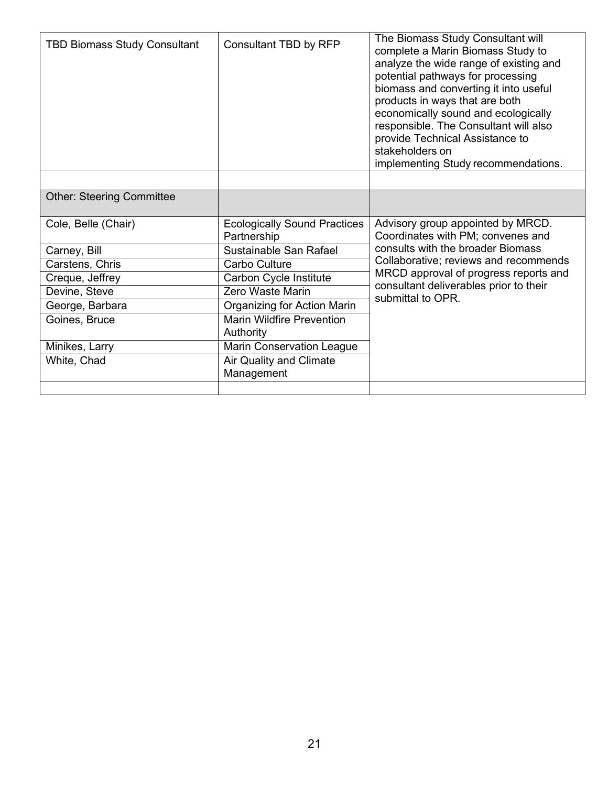| <b>TBD Biomass Study Consultant</b> | Consultant TBD by RFP                              | The Biomass Study Consultant will<br>complete a Marin Biomass Study to<br>analyze the wide range of existing and<br>potential pathways for processing<br>biomass and converting it into useful<br>products in ways that are both<br>economically sound and ecologically<br>responsible. The Consultant will also<br>provide Technical Assistance to<br>stakeholders on<br>implementing Study recommendations. |
|-------------------------------------|----------------------------------------------------|---------------------------------------------------------------------------------------------------------------------------------------------------------------------------------------------------------------------------------------------------------------------------------------------------------------------------------------------------------------------------------------------------------------|
|                                     |                                                    |                                                                                                                                                                                                                                                                                                                                                                                                               |
| <b>Other: Steering Committee</b>    |                                                    |                                                                                                                                                                                                                                                                                                                                                                                                               |
| Cole, Belle (Chair)                 | <b>Ecologically Sound Practices</b><br>Partnership | Advisory group appointed by MRCD.<br>Coordinates with PM; convenes and                                                                                                                                                                                                                                                                                                                                        |
| Carney, Bill                        | Sustainable San Rafael                             | consults with the broader Biomass                                                                                                                                                                                                                                                                                                                                                                             |
| Carstens, Chris                     | Carbo Culture                                      | Collaborative; reviews and recommends                                                                                                                                                                                                                                                                                                                                                                         |
| Creque, Jeffrey                     | Carbon Cycle Institute                             | MRCD approval of progress reports and                                                                                                                                                                                                                                                                                                                                                                         |
| Devine, Steve                       | Zero Waste Marin                                   | consultant deliverables prior to their<br>submittal to OPR.                                                                                                                                                                                                                                                                                                                                                   |
| George, Barbara                     | Organizing for Action Marin                        |                                                                                                                                                                                                                                                                                                                                                                                                               |
| Goines, Bruce                       | <b>Marin Wildfire Prevention</b><br>Authority      |                                                                                                                                                                                                                                                                                                                                                                                                               |
| Minikes, Larry                      | <b>Marin Conservation League</b>                   |                                                                                                                                                                                                                                                                                                                                                                                                               |
| White, Chad                         | <b>Air Quality and Climate</b><br>Management       |                                                                                                                                                                                                                                                                                                                                                                                                               |
|                                     |                                                    |                                                                                                                                                                                                                                                                                                                                                                                                               |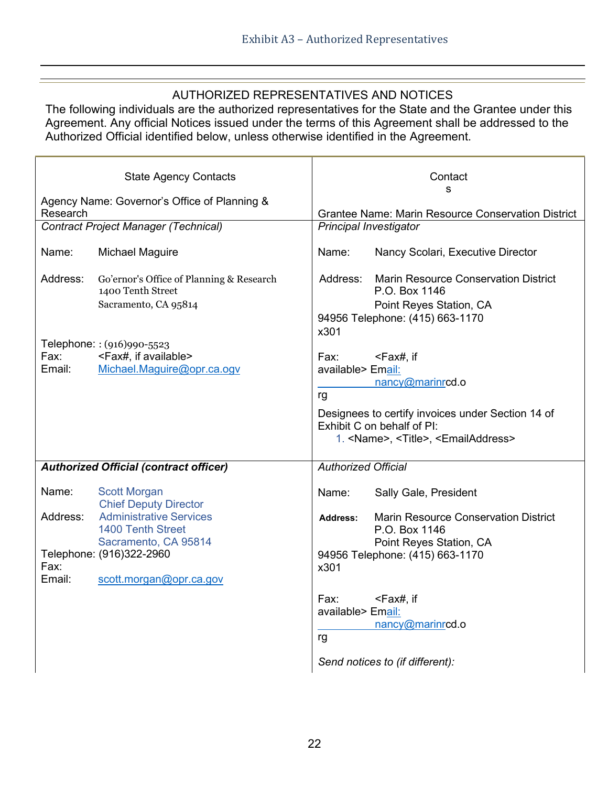## AUTHORIZED REPRESENTATIVES AND NOTICES

The following individuals are the authorized representatives for the State and the Grantee under this Agreement. Any official Notices issued under the terms of this Agreement shall be addressed to the Authorized Official identified below, unless otherwise identified in the Agreement.

| <b>State Agency Contacts</b> |                                                                                                                                    | Contact                                                        |                                                                                                                                                                                                    |
|------------------------------|------------------------------------------------------------------------------------------------------------------------------------|----------------------------------------------------------------|----------------------------------------------------------------------------------------------------------------------------------------------------------------------------------------------------|
| Research                     | Agency Name: Governor's Office of Planning &                                                                                       | s<br><b>Grantee Name: Marin Resource Conservation District</b> |                                                                                                                                                                                                    |
|                              | <b>Contract Project Manager (Technical)</b>                                                                                        |                                                                | <b>Principal Investigator</b>                                                                                                                                                                      |
| Name:                        | <b>Michael Maguire</b>                                                                                                             | Name:                                                          | Nancy Scolari, Executive Director                                                                                                                                                                  |
| Address:                     | Go'ernor's Office of Planning & Research<br>1400 Tenth Street<br>Sacramento, CA 95814                                              | Address:<br>x301                                               | <b>Marin Resource Conservation District</b><br>P.O. Box 1146<br>Point Reyes Station, CA<br>94956 Telephone: (415) 663-1170                                                                         |
| Fax:<br>Email:               | Telephone:: (916)990-5523<br><fax#, available="" if=""><br/>Michael.Maguire@opr.ca.ogv</fax#,>                                     | Fax:<br>available> Email:<br>rg                                | <fax#, if<br="">nancy@marinrcd.o<br/>Designees to certify invoices under Section 14 of<br/>Exhibit C on behalf of PI:<br/>1. <name>, <title>, <emailaddress></emailaddress></title></name></fax#,> |
|                              | <b>Authorized Official (contract officer)</b>                                                                                      | <b>Authorized Official</b>                                     |                                                                                                                                                                                                    |
| Name:                        | <b>Scott Morgan</b><br><b>Chief Deputy Director</b>                                                                                | Name:                                                          | Sally Gale, President                                                                                                                                                                              |
| Address:<br>Fax:<br>Email:   | <b>Administrative Services</b><br>1400 Tenth Street<br>Sacramento, CA 95814<br>Telephone: (916)322-2960<br>scott.morgan@opr.ca.gov | Address:<br>x301                                               | <b>Marin Resource Conservation District</b><br>P.O. Box 1146<br>Point Reyes Station, CA<br>94956 Telephone: (415) 663-1170                                                                         |
|                              |                                                                                                                                    | Fax:<br>available> Email:<br>rg                                | $<$ Fax#, if<br>nancy@marinrcd.o<br>Send notices to (if different):                                                                                                                                |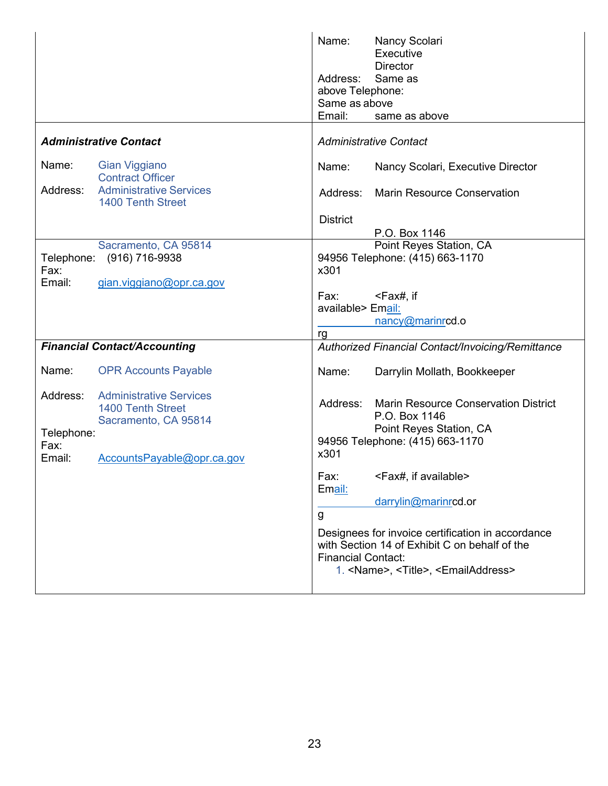|                                          |                                                                                                                  | Name:<br>Address:<br>above Telephone:<br>Same as above<br>Email: | Nancy Scolari<br>Executive<br><b>Director</b><br>Same as<br>same as above                                                                                                                                                                |
|------------------------------------------|------------------------------------------------------------------------------------------------------------------|------------------------------------------------------------------|------------------------------------------------------------------------------------------------------------------------------------------------------------------------------------------------------------------------------------------|
|                                          | <b>Administrative Contact</b>                                                                                    |                                                                  | <b>Administrative Contact</b>                                                                                                                                                                                                            |
| Name:                                    | <b>Gian Viggiano</b><br><b>Contract Officer</b>                                                                  | Name:                                                            | Nancy Scolari, Executive Director                                                                                                                                                                                                        |
| Address:                                 | <b>Administrative Services</b><br><b>1400 Tenth Street</b>                                                       |                                                                  | Address: Marin Resource Conservation                                                                                                                                                                                                     |
|                                          |                                                                                                                  | <b>District</b>                                                  | P.O. Box 1146                                                                                                                                                                                                                            |
| Telephone:<br>Fax:                       | Sacramento, CA 95814<br>(916) 716-9938                                                                           | x301                                                             | Point Reyes Station, CA<br>94956 Telephone: (415) 663-1170                                                                                                                                                                               |
| Email:                                   | gian.viggiano@opr.ca.gov                                                                                         | Fax: Fax:<br>available> Email:<br>rg                             | <fax#, if<br="">nancy@marinrcd.o</fax#,>                                                                                                                                                                                                 |
|                                          | <b>Financial Contact/Accounting</b>                                                                              |                                                                  | Authorized Financial Contact/Invoicing/Remittance                                                                                                                                                                                        |
| Name:                                    | <b>OPR Accounts Payable</b>                                                                                      | Name:                                                            | Darrylin Mollath, Bookkeeper                                                                                                                                                                                                             |
| Address:<br>Telephone:<br>Fax:<br>Email: | <b>Administrative Services</b><br><b>1400 Tenth Street</b><br>Sacramento, CA 95814<br>AccountsPayable@opr.ca.gov | Address:<br>x301                                                 | <b>Marin Resource Conservation District</b><br>P.O. Box 1146<br>Point Reyes Station, CA<br>94956 Telephone: (415) 663-1170                                                                                                               |
|                                          |                                                                                                                  | Fax:<br>Email:<br>g<br><b>Financial Contact:</b>                 | <fax#, available="" if=""><br/>darrylin@marinrcd.or<br/>Designees for invoice certification in accordance<br/>with Section 14 of Exhibit C on behalf of the<br/>1. <name>, <title>, <emailaddress></emailaddress></title></name></fax#,> |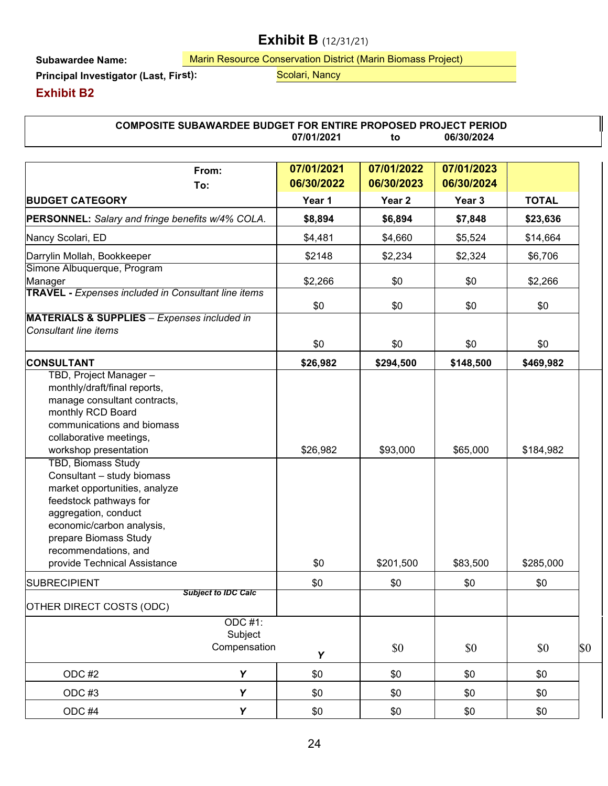# **Exhibit B** (12/31/21)

**Subawardee Name:**

**Principal Investigator (Last, Fir**

Marin Resource Conservation District (Marin Biomass Project) **st):** Scolari, Nancy

**Exhibit B2**

**From: 07/01/2021 07/01/2022 07/01/2023 To: 06/30/2022 06/30/2023 06/30/2024 BUDGET CATEGORY Year 1 Year 2 Year 3 TOTAL PERSONNEL:** *Salary and fringe benefits w/4% COLA.* **\$8,894 \$6,894 \$7,848 \$23,636** Nancy Scolari, ED | \$4,481 | \$4,660 | \$5,524 | \$14,664 Darrylin Mollah, Bookkeeper \$2148 \$2,234 \$2,324 \$6,706 Simone Albuquerque, Program Manager \$2,266 | \$0 \$0 | \$2,266 **TRAVEL -** *Expenses included in Consultant line items* \$0 \$0 \$0 \$0 \$0 **MATERIALS & SUPPLIES** *– Expenses included in Consultant line items* \$0 \$0 \$0 \$0 \$0 **CONSULTANT \$26,982 \$294,500 \$148,500 \$469,982** TBD, Project Manager – monthly/draft/final reports, manage consultant contracts, monthly RCD Board communications and biomass collaborative meetings, workshop presentation \$26,982 \$93,000 \$65,000 \$184,982 TBD, Biomass Study Consultant – study biomass market opportunities, analyze feedstock pathways for aggregation, conduct economic/carbon analysis, prepare Biomass Study recommendations, and provide Technical Assistance \$0 \$201,500 \$83,500 \$285,000 SUBRECIPIENT | \$0 | \$0 | \$0 | \$0 *Subject to IDC Calc* OTHER DIRECT COSTS (ODC) ODC #1: Subject  $\begin{array}{|c|c|c|c|c|c|}\n\hline\n\text{Compensation} & \text{\textbf{y}} & \begin{array}{c|c|c|c} \mathbb{S}0 & \mathbb{S}0 & \mathbb{S}0 \end{array} & \begin{array}{c} \text{\textbf{\textit{S}}0} & \begin{array}{c} \text{\textbf{\textit{S}}0} & \end{array} & \begin{array}{c} \text{\textbf{\textit{S}}0} & \end{array} & \begin{array}{c} \text{\textbf{\textit{S}}0} & \begin{array}{c} \text{\textbf{\textit{S}}0} & \end{array} & \begin{array}{c} \text{\textbf{\text$ ODC #2 **Y** | \$0 | \$0 | \$0 | \$0 ODC #3 **Y** | \$0 | \$0 | \$0 | \$0 ODC #4 **Y** | \$0 | \$0 | \$0 | \$0 **07/01/2021 to 06/30/2024 COMPOSITE SUBAWARDEE BUDGET FOR ENTIRE PROPOSED PROJECT PERIOD**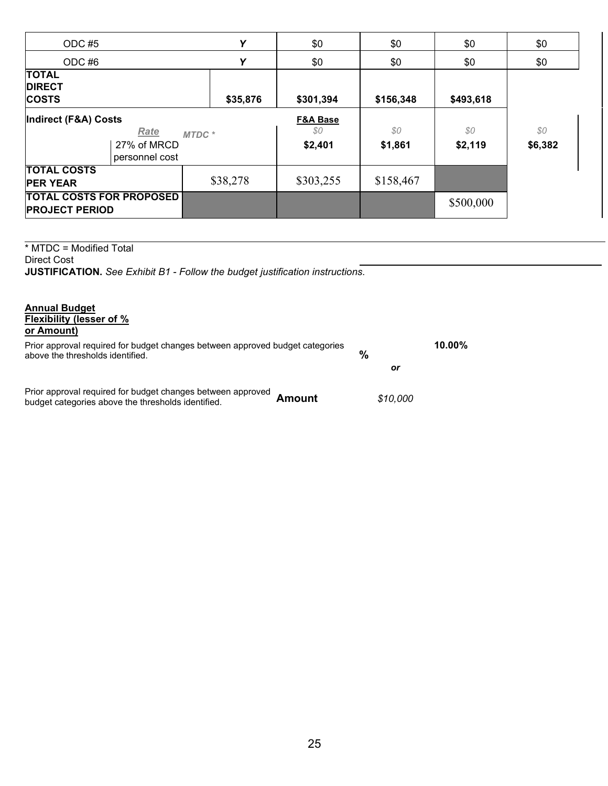| ODC#5                                                    |                                       | Y        | \$0                                  | \$0            | \$0            | \$0            |
|----------------------------------------------------------|---------------------------------------|----------|--------------------------------------|----------------|----------------|----------------|
| ODC#6                                                    |                                       | Υ        | \$0                                  | \$0            | \$0            | \$0            |
| <b>TOTAL</b><br><b>DIRECT</b><br><b>COSTS</b>            |                                       | \$35,876 | \$301,394                            | \$156,348      | \$493,618      |                |
| Indirect (F&A) Costs                                     | Rate<br>27% of MRCD<br>personnel cost | MTDC*    | <b>F&amp;A Base</b><br>80<br>\$2,401 | \$0<br>\$1,861 | \$0<br>\$2,119 | \$0<br>\$6,382 |
| <b>TOTAL COSTS</b><br><b>PER YEAR</b>                    |                                       | \$38,278 | \$303,255                            | \$158,467      |                |                |
| <b>TOTAL COSTS FOR PROPOSED</b><br><b>PROJECT PERIOD</b> |                                       |          |                                      |                | \$500,000      |                |

\* MTDC = Modified Total Direct Cost **JUSTIFICATION.** *See Exhibit B1 - Follow the budget justification instructions.*

| <b>Annual Budget</b>                                                                                              |   |
|-------------------------------------------------------------------------------------------------------------------|---|
| Flexibility (lesser of %                                                                                          |   |
| or Amount)                                                                                                        |   |
| Prior approval required for budget changes between approved budget categories<br>above the thresholds identified. | % |

| % |    | 10.00% |
|---|----|--------|
|   | or |        |

Prior approval required for budget changes between approved budget categories above the thresholds identified. **Amount** *\$10,000*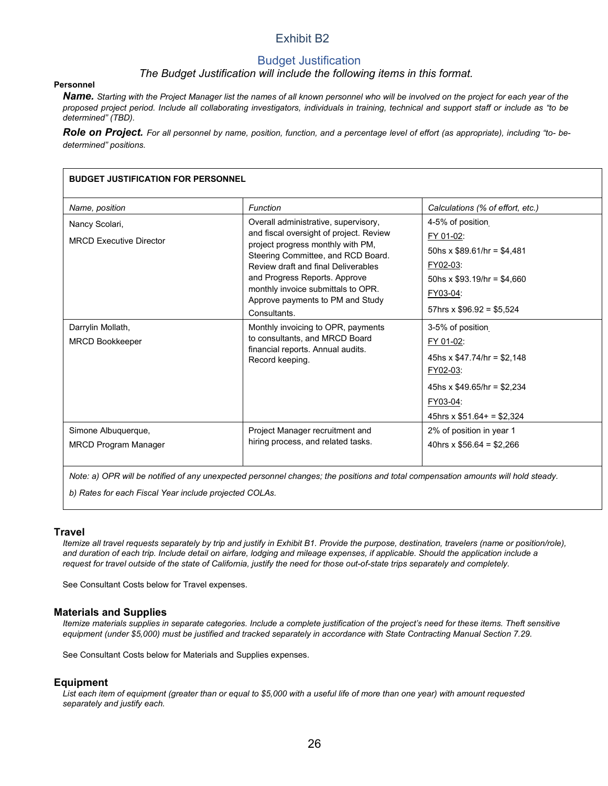### Exhibit B2

### Budget Justification

#### *The Budget Justification will include the following items in this format.*

#### **Personnel**

*Name. Starting with the Project Manager list the names of all known personnel who will be involved on the project for each year of the proposed project period. Include all collaborating investigators, individuals in training, technical and support staff or include as "to be determined" (TBD).*

*Role on Project. For all personnel by name, position, function, and a percentage level of effort (as appropriate), including "to- bedetermined" positions.*

| <b>BUDGET JUSTIFICATION FOR PERSONNEL</b> |                                                                              |                                  |  |  |
|-------------------------------------------|------------------------------------------------------------------------------|----------------------------------|--|--|
| Name, position                            | Function                                                                     | Calculations (% of effort, etc.) |  |  |
| Nancy Scolari,                            | Overall administrative, supervisory,                                         | 4-5% of position                 |  |  |
| <b>MRCD Executive Director</b>            | and fiscal oversight of project. Review<br>project progress monthly with PM, | FY 01-02:                        |  |  |
|                                           | Steering Committee, and RCD Board.                                           | 50hs x $$89.61/hr = $4,481$      |  |  |
|                                           | Review draft and final Deliverables                                          | FY02-03:                         |  |  |
|                                           | and Progress Reports. Approve                                                | 50hs x $$93.19$ /hr = $$4,660$   |  |  |
|                                           | monthly invoice submittals to OPR.<br>Approve payments to PM and Study       | FY03-04:                         |  |  |
|                                           | <b>Consultants</b>                                                           | 57hrs x $$96.92 = $5,524$        |  |  |
| Darrylin Mollath,                         | Monthly invoicing to OPR, payments                                           | 3-5% of position                 |  |  |
| <b>MRCD Bookkeeper</b>                    | to consultants, and MRCD Board                                               | FY 01-02:                        |  |  |
|                                           | financial reports. Annual audits.<br>Record keeping.                         | 45hs x $$47.74/hr = $2.148$      |  |  |
|                                           |                                                                              | FY02-03:                         |  |  |
|                                           |                                                                              | 45hs x $$49.65/hr = $2,234$      |  |  |
|                                           |                                                                              | FY03-04:                         |  |  |
|                                           |                                                                              | 45hrs x $$51.64+ = $2,324$       |  |  |
| Simone Albuquerque,                       | Project Manager recruitment and                                              | 2% of position in year 1         |  |  |
| <b>MRCD Program Manager</b>               | hiring process, and related tasks.                                           | 40hrs x $$56.64 = $2,266$        |  |  |
|                                           |                                                                              |                                  |  |  |

*Note: a) OPR will be notified of any unexpected personnel changes; the positions and total compensation amounts will hold steady.*

*b) Rates for each Fiscal Year include projected COLAs.*

#### **Travel**

*Itemize all travel requests separately by trip and justify in Exhibit B1. Provide the purpose, destination, travelers (name or position/role), and duration of each trip. Include detail on airfare, lodging and mileage expenses, if applicable. Should the application include a request for travel outside of the state of California, justify the need for those out-of-state trips separately and completely.*

See Consultant Costs below for Travel expenses.

#### **Materials and Supplies**

*Itemize materials supplies in separate categories. Include a complete justification of the project's need for these items. Theft sensitive equipment (under \$5,000) must be justified and tracked separately in accordance with State Contracting Manual Section 7.29.*

See Consultant Costs below for Materials and Supplies expenses.

#### **Equipment**

*List each item of equipment (greater than or equal to \$5,000 with a useful life of more than one year) with amount requested separately and justify each.*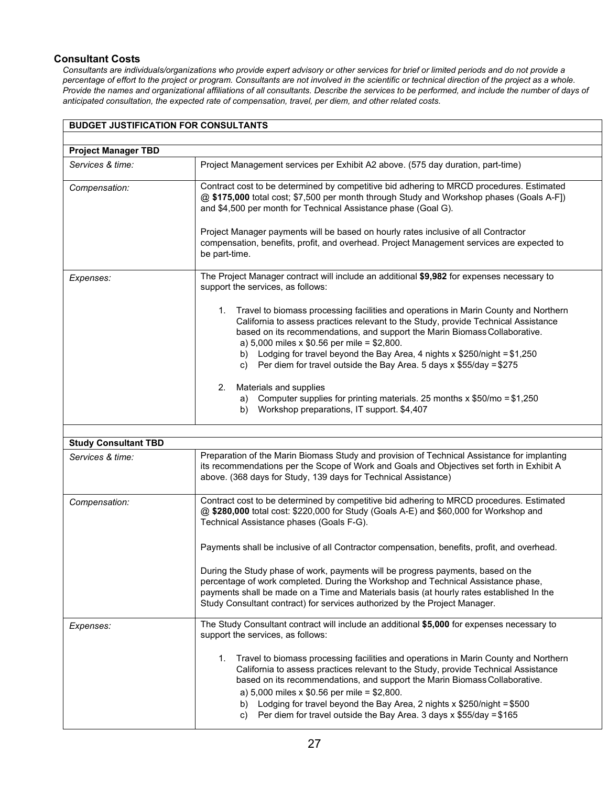#### **Consultant Costs**

*Consultants are individuals/organizations who provide expert advisory or other services for brief or limited periods and do not provide a percentage of effort to the project or program. Consultants are not involved in the scientific or technical direction of the project as a whole. Provide the names and organizational affiliations of all consultants. Describe the services to be performed, and include the number of days of anticipated consultation, the expected rate of compensation, travel, per diem, and other related costs.*

| <b>BUDGET JUSTIFICATION FOR CONSULTANTS</b> |                                                                                                                                                                                                                                                                                                                                                                                                                                                                         |  |  |
|---------------------------------------------|-------------------------------------------------------------------------------------------------------------------------------------------------------------------------------------------------------------------------------------------------------------------------------------------------------------------------------------------------------------------------------------------------------------------------------------------------------------------------|--|--|
|                                             |                                                                                                                                                                                                                                                                                                                                                                                                                                                                         |  |  |
| <b>Project Manager TBD</b>                  |                                                                                                                                                                                                                                                                                                                                                                                                                                                                         |  |  |
| Services & time:                            | Project Management services per Exhibit A2 above. (575 day duration, part-time)                                                                                                                                                                                                                                                                                                                                                                                         |  |  |
| Compensation:                               | Contract cost to be determined by competitive bid adhering to MRCD procedures. Estimated<br>@ \$175,000 total cost; \$7,500 per month through Study and Workshop phases (Goals A-F])<br>and \$4,500 per month for Technical Assistance phase (Goal G).<br>Project Manager payments will be based on hourly rates inclusive of all Contractor                                                                                                                            |  |  |
|                                             | compensation, benefits, profit, and overhead. Project Management services are expected to<br>be part-time.                                                                                                                                                                                                                                                                                                                                                              |  |  |
| Expenses:                                   | The Project Manager contract will include an additional \$9,982 for expenses necessary to<br>support the services, as follows:                                                                                                                                                                                                                                                                                                                                          |  |  |
|                                             | 1. Travel to biomass processing facilities and operations in Marin County and Northern<br>California to assess practices relevant to the Study, provide Technical Assistance<br>based on its recommendations, and support the Marin Biomass Collaborative.<br>a) 5,000 miles x $$0.56$ per mile = \$2,800.                                                                                                                                                              |  |  |
|                                             | b) Lodging for travel beyond the Bay Area, 4 nights x \$250/night = \$1,250<br>c) Per diem for travel outside the Bay Area. 5 days x $$55/day = $275$                                                                                                                                                                                                                                                                                                                   |  |  |
|                                             | Materials and supplies<br>2.<br>Computer supplies for printing materials. 25 months $x$ \$50/mo = \$1,250<br>a)<br>Workshop preparations, IT support. \$4,407<br>b)                                                                                                                                                                                                                                                                                                     |  |  |
| <b>Study Consultant TBD</b>                 |                                                                                                                                                                                                                                                                                                                                                                                                                                                                         |  |  |
| Services & time:                            | Preparation of the Marin Biomass Study and provision of Technical Assistance for implanting<br>its recommendations per the Scope of Work and Goals and Objectives set forth in Exhibit A<br>above. (368 days for Study, 139 days for Technical Assistance)                                                                                                                                                                                                              |  |  |
| Compensation:                               | Contract cost to be determined by competitive bid adhering to MRCD procedures. Estimated<br>@ \$280,000 total cost: \$220,000 for Study (Goals A-E) and \$60,000 for Workshop and<br>Technical Assistance phases (Goals F-G).                                                                                                                                                                                                                                           |  |  |
|                                             | Payments shall be inclusive of all Contractor compensation, benefits, profit, and overhead.                                                                                                                                                                                                                                                                                                                                                                             |  |  |
|                                             | During the Study phase of work, payments will be progress payments, based on the<br>percentage of work completed. During the Workshop and Technical Assistance phase,<br>payments shall be made on a Time and Materials basis (at hourly rates established In the<br>Study Consultant contract) for services authorized by the Project Manager.                                                                                                                         |  |  |
| Expenses:                                   | The Study Consultant contract will include an additional \$5,000 for expenses necessary to<br>support the services, as follows:                                                                                                                                                                                                                                                                                                                                         |  |  |
|                                             | 1. Travel to biomass processing facilities and operations in Marin County and Northern<br>California to assess practices relevant to the Study, provide Technical Assistance<br>based on its recommendations, and support the Marin Biomass Collaborative.<br>a) 5,000 miles x $$0.56$ per mile = \$2,800.<br>Lodging for travel beyond the Bay Area, 2 nights x \$250/night = \$500<br>b)<br>Per diem for travel outside the Bay Area. 3 days x \$55/day = \$165<br>C) |  |  |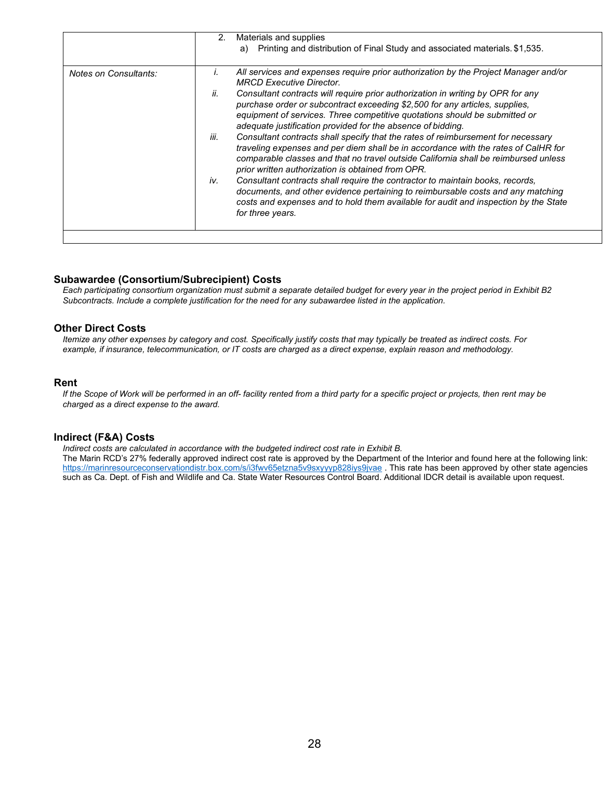|                       | 2.   | Materials and supplies                                                                                                                                                                                                                                                                                             |
|-----------------------|------|--------------------------------------------------------------------------------------------------------------------------------------------------------------------------------------------------------------------------------------------------------------------------------------------------------------------|
|                       |      | a) Printing and distribution of Final Study and associated materials. \$1,535.                                                                                                                                                                                                                                     |
| Notes on Consultants: | I.   | All services and expenses require prior authorization by the Project Manager and/or<br><b>MRCD Executive Director</b>                                                                                                                                                                                              |
|                       | ii.  | Consultant contracts will require prior authorization in writing by OPR for any<br>purchase order or subcontract exceeding \$2,500 for any articles, supplies,<br>equipment of services. Three competitive quotations should be submitted or<br>adequate justification provided for the absence of bidding.        |
|                       | iii. | Consultant contracts shall specify that the rates of reimbursement for necessary<br>traveling expenses and per diem shall be in accordance with the rates of CalHR for<br>comparable classes and that no travel outside California shall be reimbursed unless<br>prior written authorization is obtained from OPR. |
|                       | iv.  | Consultant contracts shall require the contractor to maintain books, records,<br>documents, and other evidence pertaining to reimbursable costs and any matching<br>costs and expenses and to hold them available for audit and inspection by the State<br>for three years.                                        |
|                       |      |                                                                                                                                                                                                                                                                                                                    |

#### **Subawardee (Consortium/Subrecipient) Costs**

*Each participating consortium organization must submit a separate detailed budget for every year in the project period in Exhibit B2 Subcontracts. Include a complete justification for the need for any subawardee listed in the application.*

#### **Other Direct Costs**

*Itemize any other expenses by category and cost. Specifically justify costs that may typically be treated as indirect costs. For example, if insurance, telecommunication, or IT costs are charged as a direct expense, explain reason and methodology.*

#### **Rent**

*If the Scope of Work will be performed in an off- facility rented from a third party for a specific project or projects, then rent may be charged as a direct expense to the award.*

#### **Indirect (F&A) Costs**

*Indirect costs are calculated in accordance with the budgeted indirect cost rate in Exhibit B.* The Marin RCD's 27% federally approved indirect cost rate is approved by the Department of the Interior and found here at the following link: https://marinresourceconservationdistr.box.com/s/i3fwv65etzna5v9sxyyyp828iys9jvae . This rate has been approved by other state agencies such as Ca. Dept. of Fish and Wildlife and Ca. State Water Resources Control Board. Additional IDCR detail is available upon request.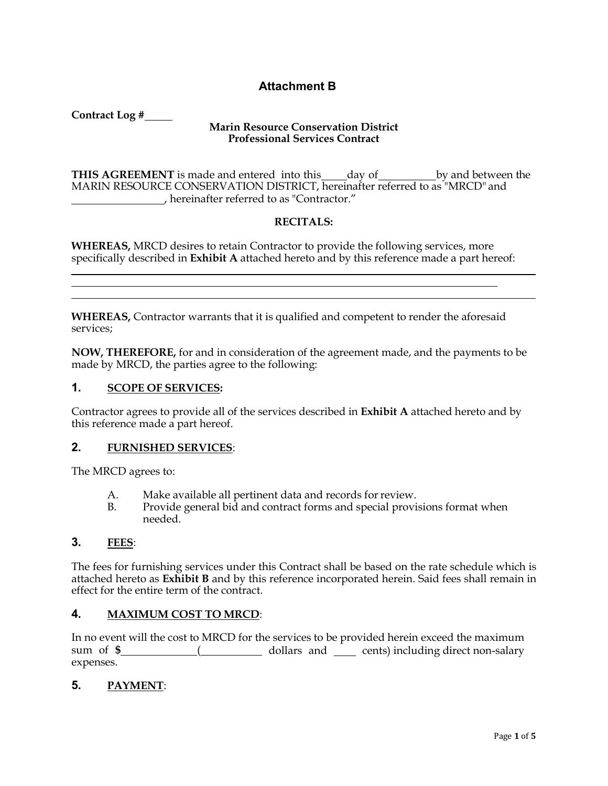### **Attachment B**

**Contract Log #**

#### **Marin Resource Conservation District Professional Services Contract**

**THIS AGREEMENT** is made and entered into this day of by and between the MARIN RESOURCE CONSERVATION DISTRICT, hereinafter referred to as "MRCD" and , hereinafter referred to as "Contractor."

### **RECITALS:**

**WHEREAS,** MRCD desires to retain Contractor to provide the following services, more specifically described in **Exhibit A** attached hereto and by this reference made a part hereof:

**WHEREAS,** Contractor warrants that it is qualified and competent to render the aforesaid services;

**NOW, THEREFORE,** for and in consideration of the agreement made, and the payments to be made by MRCD, the parties agree to the following:

### **1. SCOPE OF SERVICES:**

Contractor agrees to provide all of the services described in **Exhibit A** attached hereto and by this reference made a part hereof.

#### **2. FURNISHED SERVICES**:

The MRCD agrees to:

- A. Make available all pertinent data and records for review.<br>B. Provide general bid and contract forms and special provis
- Provide general bid and contract forms and special provisions format when needed.

#### **3. FEES**:

The fees for furnishing services under this Contract shall be based on the rate schedule which is attached hereto as **Exhibit B** and by this reference incorporated herein. Said fees shall remain in effect for the entire term of the contract.

### **4. MAXIMUM COST TO MRCD**:

In no event will the cost to MRCD for the services to be provided herein exceed the maximum sum of \$\_\_\_\_\_\_\_\_\_\_\_\_\_(\_\_\_\_\_\_\_\_\_\_\_\_ dollars and \_\_\_\_\_ cents) including direct non-salary expenses.

### **5. PAYMENT**: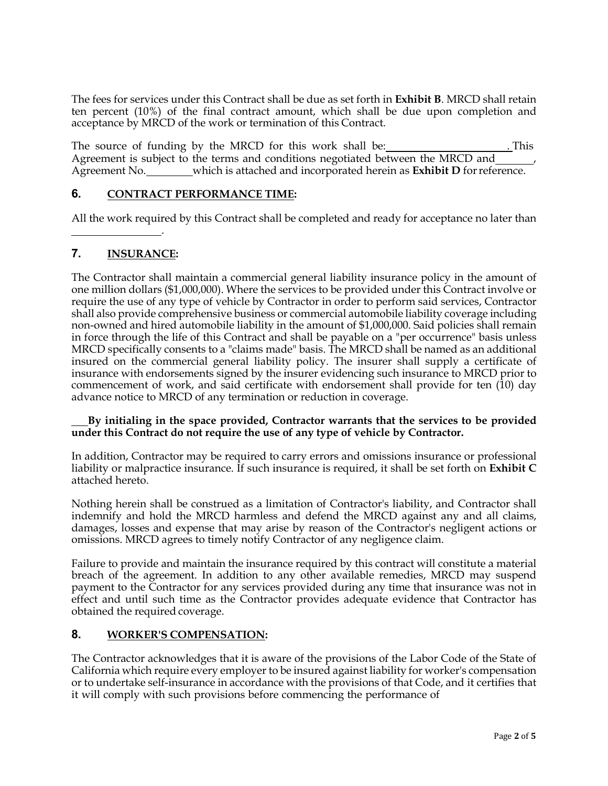The fees for services under this Contract shall be due as set forth in **Exhibit B**. MRCD shall retain ten percent (10%) of the final contract amount, which shall be due upon completion and acceptance by MRCD of the work or termination of this Contract.

The source of funding by the MRCD for this work shall be: . This Agreement is subject to the terms and conditions negotiated between the MRCD and Agreement No. which is attached and incorporated herein as **Exhibit D** forreference.

### **6. CONTRACT PERFORMANCE TIME:**

.

All the work required by this Contract shall be completed and ready for acceptance no later than

### **7. INSURANCE:**

The Contractor shall maintain a commercial general liability insurance policy in the amount of one million dollars (\$1,000,000). Where the services to be provided under this Contract involve or require the use of any type of vehicle by Contractor in order to perform said services, Contractor shall also provide comprehensive business or commercial automobile liability coverage including non-owned and hired automobile liability in the amount of \$1,000,000. Said policies shall remain in force through the life of this Contract and shall be payable on a "per occurrence" basis unless MRCD specifically consents to a "claims made" basis. The MRCD shall be named as an additional insured on the commercial general liability policy. The insurer shall supply a certificate of insurance with endorsements signed by the insurer evidencing such insurance to MRCD prior to commencement of work, and said certificate with endorsement shall provide for ten (10) day advance notice to MRCD of any termination or reduction in coverage.

#### **By initialing in the space provided, Contractor warrants that the services to be provided under this Contract do not require the use of any type of vehicle by Contractor.**

In addition, Contractor may be required to carry errors and omissions insurance or professional liability or malpractice insurance. If such insurance is required, it shall be set forth on **Exhibit C**  attached hereto.

Nothing herein shall be construed as a limitation of Contractor's liability, and Contractor shall indemnify and hold the MRCD harmless and defend the MRCD against any and all claims, damages, losses and expense that may arise by reason of the Contractor's negligent actions or omissions. MRCD agrees to timely notify Contractor of any negligence claim.

Failure to provide and maintain the insurance required by this contract will constitute a material breach of the agreement. In addition to any other available remedies, MRCD may suspend payment to the Contractor for any services provided during any time that insurance was not in effect and until such time as the Contractor provides adequate evidence that Contractor has obtained the required coverage.

#### **8. WORKER'S COMPENSATION:**

The Contractor acknowledges that it is aware of the provisions of the Labor Code of the State of California which require every employer to be insured against liability for worker's compensation or to undertake self-insurance in accordance with the provisions of that Code, and it certifies that it will comply with such provisions before commencing the performance of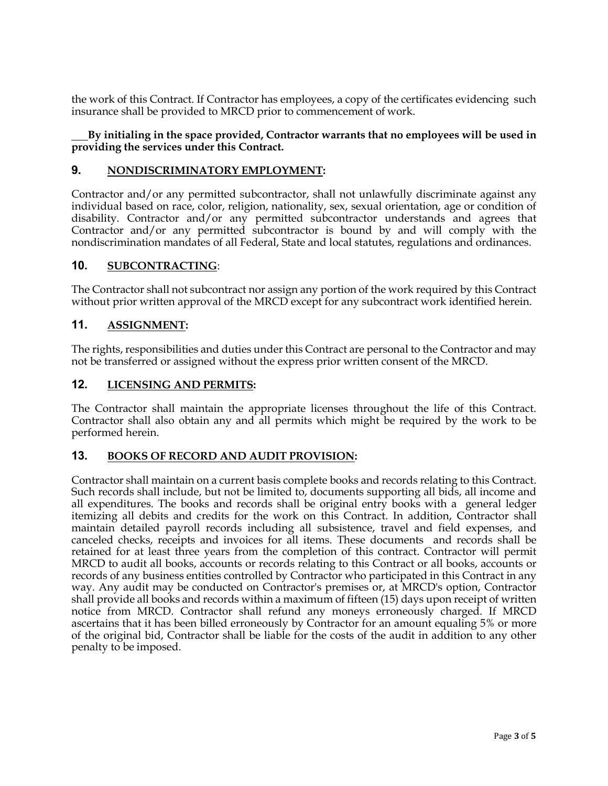the work of this Contract. If Contractor has employees, a copy of the certificates evidencing such insurance shall be provided to MRCD prior to commencement of work.

#### **By initialing in the space provided, Contractor warrants that no employees will be used in providing the services under this Contract.**

#### **9. NONDISCRIMINATORY EMPLOYMENT:**

Contractor and/or any permitted subcontractor, shall not unlawfully discriminate against any individual based on race, color, religion, nationality, sex, sexual orientation, age or condition of disability. Contractor and/or any permitted subcontractor understands and agrees that Contractor and/or any permitted subcontractor is bound by and will comply with the nondiscrimination mandates of all Federal, State and local statutes, regulations and ordinances.

#### **10. SUBCONTRACTING**:

The Contractor shall not subcontract nor assign any portion of the work required by this Contract without prior written approval of the MRCD except for any subcontract work identified herein.

#### **11. ASSIGNMENT:**

The rights, responsibilities and duties under this Contract are personal to the Contractor and may not be transferred or assigned without the express prior written consent of the MRCD.

#### **12. LICENSING AND PERMITS:**

The Contractor shall maintain the appropriate licenses throughout the life of this Contract. Contractor shall also obtain any and all permits which might be required by the work to be performed herein.

#### **13. BOOKS OF RECORD AND AUDIT PROVISION:**

Contractor shall maintain on a current basis complete books and records relating to this Contract. Such records shall include, but not be limited to, documents supporting all bids, all income and all expenditures. The books and records shall be original entry books with a general ledger itemizing all debits and credits for the work on this Contract. In addition, Contractor shall maintain detailed payroll records including all subsistence, travel and field expenses, and canceled checks, receipts and invoices for all items. These documents and records shall be retained for at least three years from the completion of this contract. Contractor will permit MRCD to audit all books, accounts or records relating to this Contract or all books, accounts or records of any business entities controlled by Contractor who participated in this Contract in any way. Any audit may be conducted on Contractor's premises or, at MRCD's option, Contractor shall provide all books and records within a maximum of fifteen (15) days upon receipt of written notice from MRCD. Contractor shall refund any moneys erroneously charged. If MRCD ascertains that it has been billed erroneously by Contractor for an amount equaling 5% or more of the original bid, Contractor shall be liable for the costs of the audit in addition to any other penalty to be imposed.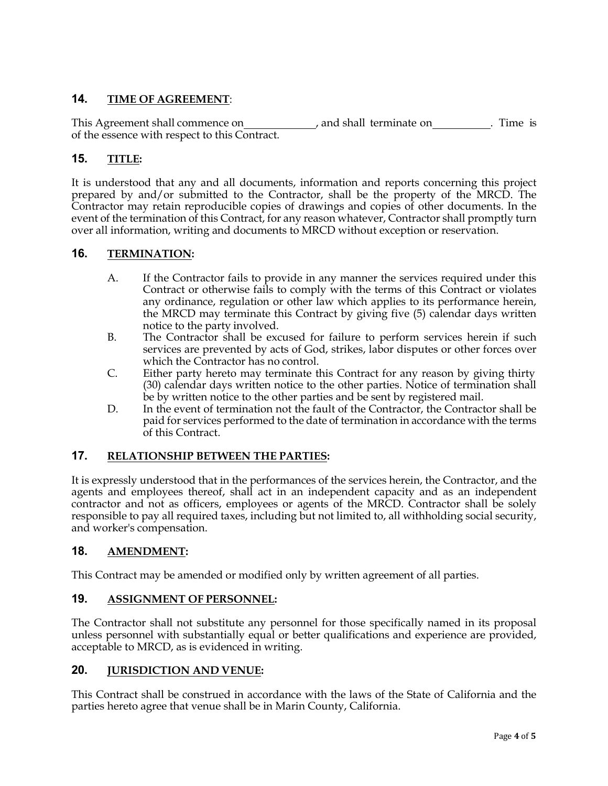### **14. TIME OF AGREEMENT**:

This Agreement shall commence on \_\_\_\_\_\_\_\_\_\_\_\_\_\_, and shall terminate on . Time is of the essence with respect to this Contract.

### **15. TITLE:**

It is understood that any and all documents, information and reports concerning this project prepared by and/or submitted to the Contractor, shall be the property of the MRCD. The Contractor may retain reproducible copies of drawings and copies of other documents. In the event of the termination of this Contract, for any reason whatever, Contractor shall promptly turn over all information, writing and documents to MRCD without exception or reservation.

### **16. TERMINATION:**

- A. If the Contractor fails to provide in any manner the services required under this Contract or otherwise fails to comply with the terms of this Contract or violates any ordinance, regulation or other law which applies to its performance herein, the MRCD may terminate this Contract by giving five (5) calendar days written notice to the party involved.
- B. The Contractor shall be excused for failure to perform services herein if such services are prevented by acts of God, strikes, labor disputes or other forces over which the Contractor has no control.
- C. Either party hereto may terminate this Contract for any reason by giving thirty (30) calendar days written notice to the other parties. Notice of termination shall be by written notice to the other parties and be sent by registered mail.
- D. In the event of termination not the fault of the Contractor, the Contractor shall be paid for services performed to the date of termination in accordance with the terms of this Contract.

### **17. RELATIONSHIP BETWEEN THE PARTIES:**

It is expressly understood that in the performances of the services herein, the Contractor, and the agents and employees thereof, shall act in an independent capacity and as an independent contractor and not as officers, employees or agents of the MRCD. Contractor shall be solely responsible to pay all required taxes, including but not limited to, all withholding social security, and worker's compensation.

### **18. AMENDMENT:**

This Contract may be amended or modified only by written agreement of all parties.

### **19. ASSIGNMENT OF PERSONNEL:**

The Contractor shall not substitute any personnel for those specifically named in its proposal unless personnel with substantially equal or better qualifications and experience are provided, acceptable to MRCD, as is evidenced in writing.

### **20. JURISDICTION AND VENUE:**

This Contract shall be construed in accordance with the laws of the State of California and the parties hereto agree that venue shall be in Marin County, California.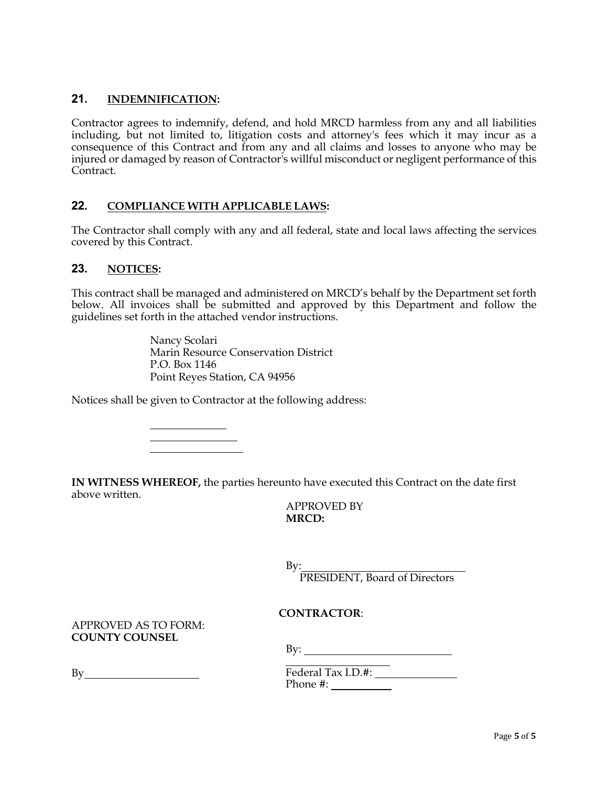### **21. INDEMNIFICATION:**

Contractor agrees to indemnify, defend, and hold MRCD harmless from any and all liabilities including, but not limited to, litigation costs and attorney's fees which it may incur as a consequence of this Contract and from any and all claims and losses to anyone who may be injured or damaged by reason of Contractor's willful misconduct or negligent performance of this Contract.

### **22. COMPLIANCE WITH APPLICABLE LAWS:**

The Contractor shall comply with any and all federal, state and local laws affecting the services covered by this Contract.

#### **23. NOTICES:**

This contract shall be managed and administered on MRCD's behalf by the Department set forth below. All invoices shall be submitted and approved by this Department and follow the guidelines set forth in the attached vendor instructions.

> Nancy Scolari Marin Resource Conservation District P.O. Box 1146 Point Reyes Station, CA 94956

Notices shall be given to Contractor at the following address:

<u> 1999 - Johann Barbara, martin a</u>

**IN WITNESS WHEREOF,** the parties hereunto have executed this Contract on the date first above written.

APPROVED BY **MRCD:**

By: PRESIDENT, Board of Directors

#### **CONTRACTOR**:

APPROVED AS TO FORM: **COUNTY COUNSEL**

By:

By

Federal Tax I.D.#: Phone #: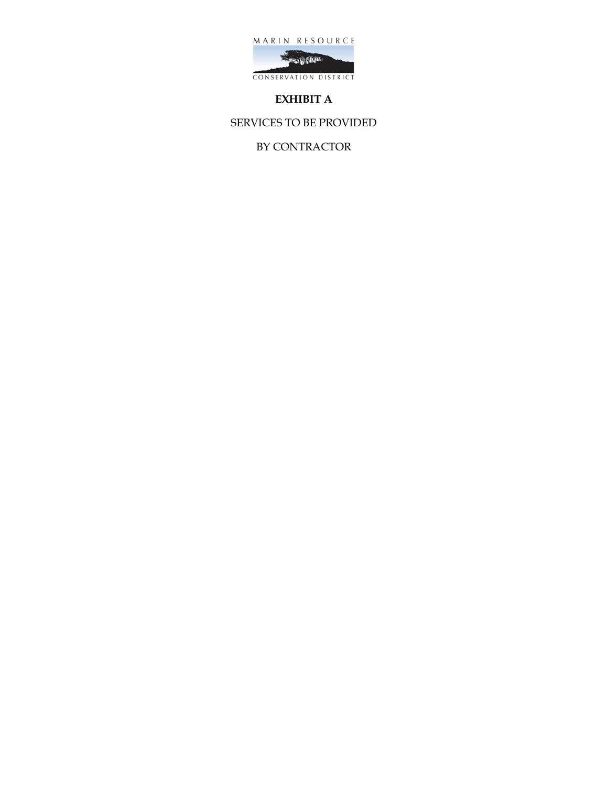



### **EXHIBIT A**

SERVICES TO BE PROVIDED

BY CONTRACTOR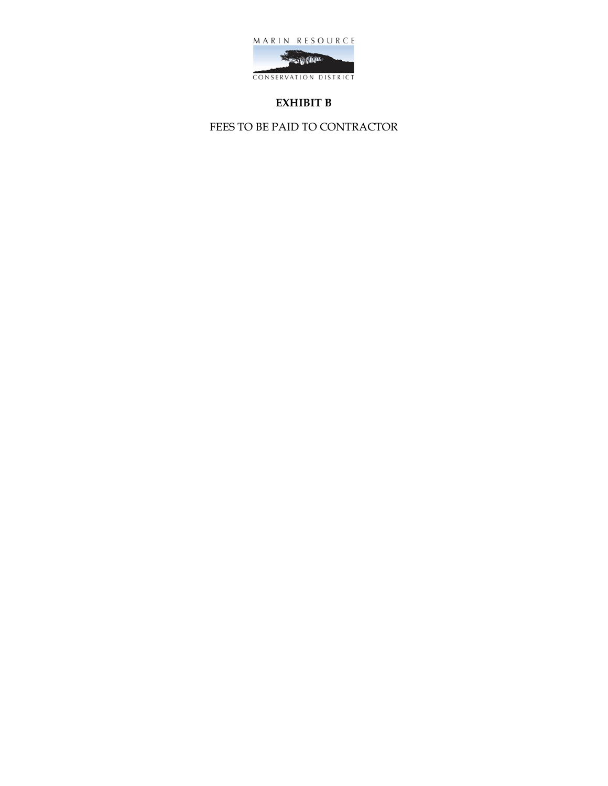

# **EXHIBIT B**

FEES TO BE PAID TO CONTRACTOR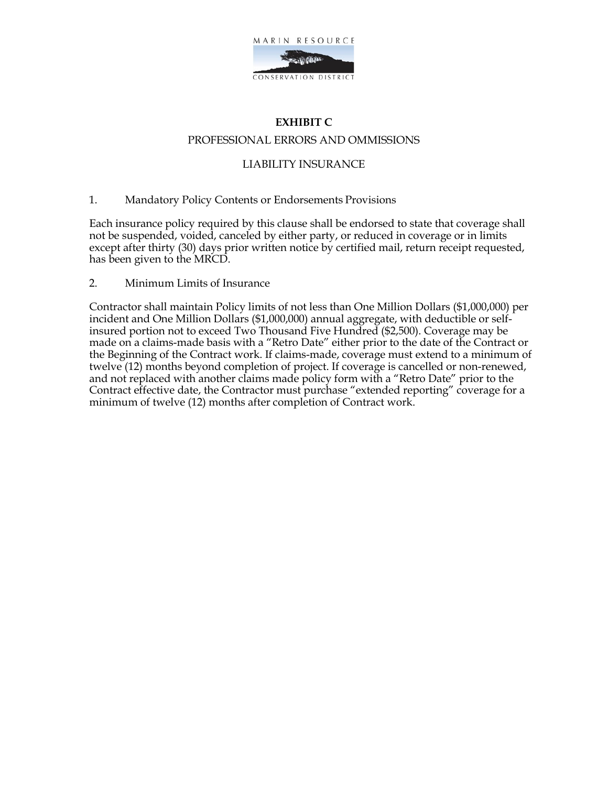

# **EXHIBIT C** PROFESSIONAL ERRORS AND OMMISSIONS

### LIABILITY INSURANCE

1. Mandatory Policy Contents or Endorsements Provisions

Each insurance policy required by this clause shall be endorsed to state that coverage shall not be suspended, voided, canceled by either party, or reduced in coverage or in limits except after thirty (30) days prior written notice by certified mail, return receipt requested, has been given to the MRCD.

2. Minimum Limits of Insurance

Contractor shall maintain Policy limits of not less than One Million Dollars (\$1,000,000) per incident and One Million Dollars (\$1,000,000) annual aggregate, with deductible or selfinsured portion not to exceed Two Thousand Five Hundred (\$2,500). Coverage may be made on a claims-made basis with a "Retro Date" either prior to the date of the Contract or the Beginning of the Contract work. If claims-made, coverage must extend to a minimum of twelve (12) months beyond completion of project. If coverage is cancelled or non-renewed, and not replaced with another claims made policy form with a "Retro Date" prior to the Contract effective date, the Contractor must purchase "extended reporting" coverage for a minimum of twelve (12) months after completion of Contract work.